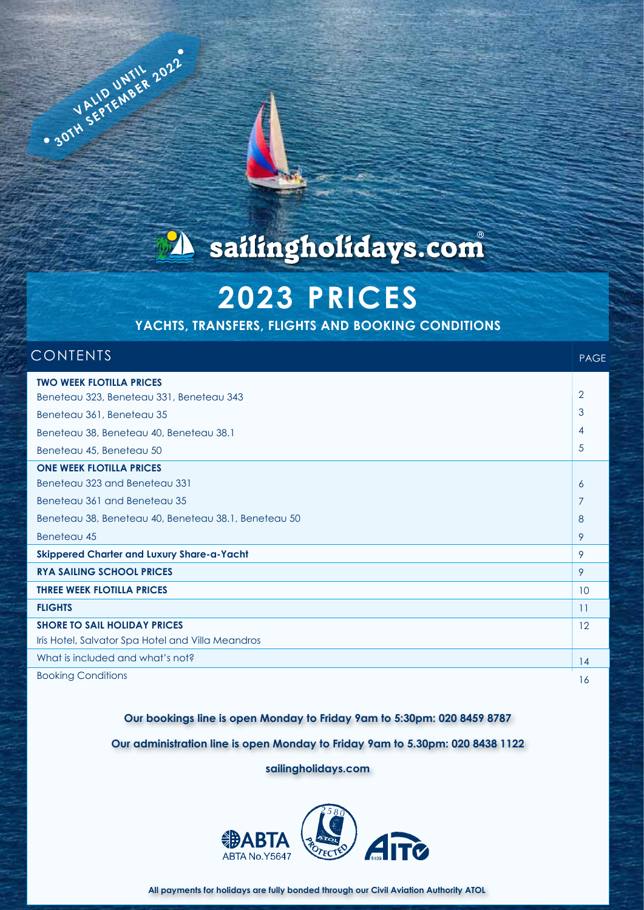

# **2023 PRICES**

**YACHTS, TRANSFERS, FLIGHTS AND BOOKING CONDITIONS**

### **CONTENTS**

**VALID UNTIL 2022** 

PAGE

| <b>TWO WEEK FLOTILLA PRICES</b>                      |                |
|------------------------------------------------------|----------------|
| Beneteau 323, Beneteau 331, Beneteau 343             | $\overline{2}$ |
| Beneteau 361, Beneteau 35                            | 3              |
| Beneteau 38, Beneteau 40, Beneteau 38.1              | 4              |
| Beneteau 45, Beneteau 50                             | 5              |
| <b>ONE WEEK FLOTILLA PRICES</b>                      |                |
| Beneteau 323 and Beneteau 331                        | 6              |
| Beneteau 361 and Beneteau 35                         | 7              |
| Beneteau 38, Beneteau 40, Beneteau 38.1, Beneteau 50 | 8              |
| Beneteau 45                                          | 9              |
| Skippered Charter and Luxury Share-a-Yacht           | 9              |
| <b>RYA SAILING SCHOOL PRICES</b>                     | 9              |
| <b>THREE WEEK FLOTILLA PRICES</b>                    | 10             |
| <b>FLIGHTS</b>                                       | 11             |
| <b>SHORE TO SAIL HOLIDAY PRICES</b>                  | 12             |
| Iris Hotel, Salvator Spa Hotel and Villa Meandros    |                |
| What is included and what's not?                     | 14             |
| <b>Booking Conditions</b>                            | 16             |

**Our bookings line is open Monday to Friday 9am to 5:30pm: 020 8459 8787** 

**Our administration line is open Monday to Friday 9am to 5.30pm: 020 8438 1122**

**sailingholidays.com**

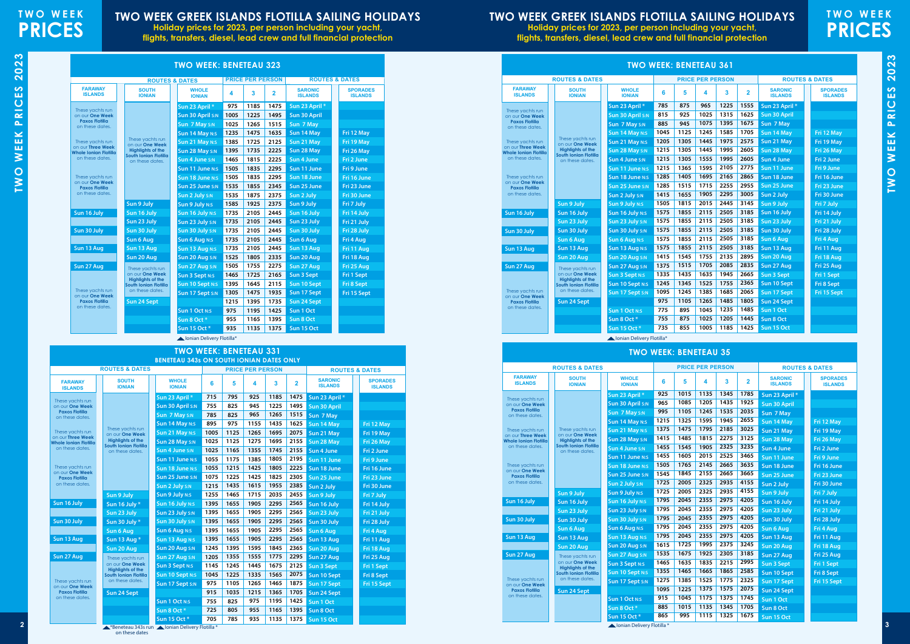**TWO WEEK PRICES 2023**

**TWO WEEK PRICES 2023** 

## **TWO WEEK GREEK ISLANDS FLOTILLA SAILING HOLIDAYS**

**Holiday prices for 2023, per person including your yacht, flights, transfers, diesel, lead crew and full financial protection**

# **TWO WEEK PRICES**

# 2023 **TWO WEEK PRICES 2023** PRICES WEEK I TWO

**TWO WEEK GREEK ISLANDS FLOTILLA SAILING HOLIDAYS**

**Holiday prices for 2023, per person including your yacht, flights, transfers, diesel, lead crew and full financial protection**

\*Beneteau 343s run on these dates Ionian Delivery Flotilla \*

|                                          | <b>TWO WEEK: BENETEAU 331</b>                     |                                                 |      |      |                         |      |                |                                  |                                   |  |  |  |  |
|------------------------------------------|---------------------------------------------------|-------------------------------------------------|------|------|-------------------------|------|----------------|----------------------------------|-----------------------------------|--|--|--|--|
|                                          |                                                   | <b>BENETEAU 343s ON SOUTH IONIAN DATES ONLY</b> |      |      |                         |      |                |                                  |                                   |  |  |  |  |
|                                          | <b>ROUTES &amp; DATES</b>                         |                                                 |      |      | <b>PRICE PER PERSON</b> |      |                | <b>ROUTES &amp; DATES</b>        |                                   |  |  |  |  |
| <b>FARAWAY</b><br><b>ISLANDS</b>         | <b>SOUTH</b><br><b>IONIAN</b>                     | <b>WHOLE</b><br><b>IONIAN</b>                   | 6    | 5    | 4                       | 3    | $\overline{2}$ | <b>SARONIC</b><br><b>ISLANDS</b> | <b>SPORADES</b><br><b>ISLANDS</b> |  |  |  |  |
| These yachts run                         |                                                   | Sun 23 April *                                  | 715  | 795  | 925                     | 1185 | 1475           | Sun 23 April *                   |                                   |  |  |  |  |
| on our One Week                          |                                                   | <b>Sun 30 April S:N</b>                         | 755  | 825  | 945                     | 1225 | 1495           | Sun 30 April                     |                                   |  |  |  |  |
| <b>Paxos Flotilla</b><br>on these dates. |                                                   | Sun 7 May S:N                                   | 785  | 825  | 965                     | 1265 | 1515           | Sun 7 May                        |                                   |  |  |  |  |
|                                          |                                                   | Sun 14 May N:S                                  | 895  | 975  | 1155                    | 1435 | 1625           | Sun 14 May                       | Fri 12 May                        |  |  |  |  |
| These yachts run<br>on our Three Week    | These yachts run<br>on our One Week               | Sun 21 May N:S                                  | 1005 | 1125 | 1265                    | 1695 | 2075           | Sun 21 May                       | Fri 19 May                        |  |  |  |  |
| <b>Whole Ionian Flotilla</b>             | <b>Highlights of the</b><br>South Ionian Flotilla | Sun 28 May S:N                                  | 1025 | 1125 | 1275                    | 1695 | 2155           | Sun 28 May                       | Fri 26 May                        |  |  |  |  |
| on these dates.                          | on these dates.                                   | Sun 4 June S:N                                  | 1025 | 1165 | 1355                    | 1745 | 2155           | Sun 4 June                       | Fri 2 June                        |  |  |  |  |
|                                          |                                                   | Sun 11 June N:S                                 | 1055 | 1175 | 1385                    | 1805 | 2195           | Sun 11 June                      | Fri 9 June                        |  |  |  |  |
| These yachts run<br>on our One Week      |                                                   | Sun 18 June N:S                                 | 1055 | 1215 | 1425                    | 1805 | 2225           | Sun 18 June                      | Fri 16 June                       |  |  |  |  |
| <b>Paxos Flotilla</b>                    |                                                   | Sun 25 June S:N                                 | 1075 | 1225 | 1425                    | 1825 | 2305           | Sun 25 June                      | Fri 23 June                       |  |  |  |  |
| on these dates.                          |                                                   | Sun 2 July S:N                                  | 1215 | 1435 | 1615                    | 1955 | 2385           | Sun 2 July                       | Fri 30 June                       |  |  |  |  |
|                                          | Sun 9 July                                        | <b>Sun 9 July N:S</b>                           | 1255 | 1465 | 1715                    | 2035 | 2455           | Sun 9 July                       | Fri 7 July                        |  |  |  |  |
| Sun 16 July                              | Sun 16 July *                                     | Sun 16 July N:S                                 | 1395 | 1655 | 1905                    | 2295 | 2565           | Sun 16 July                      | Fri 14 July                       |  |  |  |  |
|                                          | Sun 23 July                                       | Sun 23 July S:N                                 | 1395 | 1655 | 1905                    | 2295 | 2565           | Sun 23 July                      | Fri 21 July                       |  |  |  |  |
| Sun 30 July                              | Sun 30 July *                                     | Sun 30 July S:N                                 | 1395 | 1655 | 1905                    | 2295 | 2565           | Sun 30 July                      | Fri 28 July                       |  |  |  |  |
|                                          | Sun 6 Aug                                         | <b>Sun 6 Aug N:S</b>                            | 1395 | 1655 | 1905                    | 2295 | 2565           | <b>Sun 6 Aug</b>                 | Fri 4 Aug                         |  |  |  |  |
| Sun 13 Aug                               | Sun 13 Aug *                                      | Sun 13 Aug N:S                                  | 1395 | 1655 | 1905                    | 2295 | 2565           | Sun 13 Aug                       | Fri 11 Aug                        |  |  |  |  |
|                                          | Sun 20 Aug                                        | Sun 20 Aug S:N                                  | 1245 | 1395 | 1595                    | 1845 | 2365           | Sun 20 Aug                       | Fri 18 Aug                        |  |  |  |  |
| Sun 27 Aug                               | These yachts run                                  | Sun 27 Aug S:N                                  | 1205 | 1355 | 1555                    | 1775 | 2295           | Sun 27 Aug                       | Fri 25 Aug                        |  |  |  |  |
|                                          | on our One Week<br><b>Highlights of the</b>       | <b>Sun 3 Sept N:S</b>                           | 1145 | 1245 | 1445                    | 1675 | 2125           | <b>Sun 3 Sept</b>                | Fri 1 Sept                        |  |  |  |  |
|                                          | South Ionian Flotilla<br>on these dates.          | <b>Sun 10 Sept N:S</b>                          | 1045 | 1225 | 1335                    | 1565 | 2075           | Sun 10 Sept                      | Fri 8 Sept                        |  |  |  |  |
| These yachts run<br>on our One Week      |                                                   | Sun 17 Sept S:N                                 | 975  | 1105 | 1265                    | 1465 | 1875           | Sun 17 Sept                      | Fri 15 Sept                       |  |  |  |  |
| <b>Paxos Flotilla</b><br>on these dates. | Sun 24 Sept                                       |                                                 | 915  | 1035 | 1215                    | 1365 | 1705           | Sun 24 Sept                      |                                   |  |  |  |  |
|                                          |                                                   | <b>Sun 1 Oct N:S</b>                            | 755  | 825  | 975                     | 1195 | 1425           | Sun 1 Oct                        |                                   |  |  |  |  |
|                                          |                                                   | Sun 8 Oct*                                      | 725  | 805  | 955                     | 1165 | 1395           | Sun 8 Oct                        |                                   |  |  |  |  |
|                                          |                                                   | Sun 15 Oct*                                     | 705  | 785  | 935                     | 1135 | 1375           | Sun 15 Oct                       |                                   |  |  |  |  |

|                                                   |                                                   | <b>TWO WEEK: BENETEAU 323</b> |      |                         |                |                                  |                                   |
|---------------------------------------------------|---------------------------------------------------|-------------------------------|------|-------------------------|----------------|----------------------------------|-----------------------------------|
|                                                   |                                                   | <b>ROUTES &amp; DATES</b>     |      | <b>PRICE PER PERSON</b> |                | <b>ROUTES &amp; DATES</b>        |                                   |
| <b>FARAWAY</b><br><b>ISLANDS</b>                  | <b>SOUTH</b><br><b>IONIAN</b>                     | <b>WHOLE</b><br><b>IONIAN</b> | 4    | 3                       | $\overline{2}$ | <b>SARONIC</b><br><b>ISLANDS</b> | <b>SPORADES</b><br><b>ISLANDS</b> |
| These yachts run                                  |                                                   | Sun 23 April *                | 975  | 1185                    | 1475           | Sun 23 April *                   |                                   |
| on our One Week                                   |                                                   | Sun 30 April S:N              | 1005 | 1225                    | 1495           | <b>Sun 30 April</b>              |                                   |
| <b>Paxos Flotilla</b><br>on these dates.          |                                                   | Sun 7 May S:N                 | 1025 | 1265                    | 1515           | Sun 7 May                        |                                   |
|                                                   |                                                   | Sun 14 May N:S                | 1235 | 1475                    | 1635           | Sun 14 May                       | Fri 12 May                        |
| These yachts run                                  | These yachts run<br>on our One Week               | Sun 21 May N:S                | 1385 | 1725                    | 2125           | Sun 21 May                       | Fri 19 May                        |
| on our Three Week<br><b>Whole Ionian Flotilla</b> | <b>Highlights of the</b>                          | Sun 28 May S:N                | 1395 | 1735                    | 2225           | Sun 28 May                       | Fri 26 May                        |
| on these dates.                                   | <b>South Ionian Flotilla</b><br>on these dates.   | Sun 4 June S:N                | 1465 | 1815                    | 2225           | Sun 4 June                       | Fri 2 June                        |
|                                                   |                                                   | Sun 11 June N:S               | 1505 | 1835                    | 2295           | Sun 11 June                      | Fri 9 June                        |
| These yachts run                                  |                                                   | Sun 18 June N:S               | 1505 | 1835                    | 2295           | Sun 18 June                      | Fri 16 June                       |
| on our One Week<br><b>Paxos Flotilla</b>          |                                                   | Sun 25 June S:N               | 1535 | 1855                    | 2345           | Sun 25 June                      | Fri 23 June                       |
| on these dates.                                   |                                                   | Sun 2 July S:N                | 1535 | 1875                    | 2375           | Sun 2 July                       | Fri 30 June                       |
|                                                   | Sun 9 July                                        | Sun 9 July N:S                | 1585 | 1925                    | 2375           | Sun 9 July                       | Fri 7 July                        |
| Sun 16 July                                       | Sun 16 July                                       | Sun 16 July N:S               | 1735 | 2105                    | 2445           | Sun 16 July                      | Fri 14 July                       |
|                                                   | Sun 23 July                                       | Sun 23 July S:N               | 1735 | 2105                    | 2445           | Sun 23 July                      | Fri 21 July                       |
| Sun 30 July                                       | Sun 30 July                                       | Sun 30 July S:N               | 1735 | 2105                    | 2445           | Sun 30 July                      | Fri 28 July                       |
|                                                   | <b>Sun 6 Aug</b>                                  | <b>Sun 6 Aug N:S</b>          | 1735 | 2105                    | 2445           | Sun 6 Aug                        | Fri 4 Aug                         |
| Sun 13 Aug                                        | Sun 13 Aug                                        | Sun 13 Aug N:S                | 1735 | 2105                    | 2445           | Sun 13 Aug                       | Fri 11 Aug                        |
|                                                   | Sun 20 Aug                                        | Sun 20 Aug S:N                | 1525 | 1805                    | 2335           | Sun 20 Aug                       | Fri 18 Aug                        |
| Sun 27 Aug                                        | These yachts run                                  | Sun 27 Aug S:N                | 1505 | 1755                    | 2275           | Sun 27 Aug                       | Fri 25 Aug                        |
|                                                   | on our One Week                                   | <b>Sun 3 Sept N:S</b>         | 1465 | 1725                    | 2165           | <b>Sun 3 Sept</b>                | Fri 1 Sept                        |
|                                                   | <b>Highlights of the</b><br>South Ionian Flotilla | Sun 10 Sept N:S               | 1395 | 1645                    | 2115           | Sun 10 Sept                      | Fri 8 Sept                        |
| These yachts run                                  | on these dates.                                   | Sun 17 Sept S:N               | 1305 | 1475                    | 1935           | Sun 17 Sept                      | Fri 15 Sept                       |
| on our One Week<br><b>Paxos Flotilla</b>          | Sun 24 Sept                                       |                               | 1215 | 1395                    | 1735           | Sun 24 Sept                      |                                   |
| on these dates.                                   |                                                   | <b>Sun 1 Oct N:S</b>          | 975  | 1195                    | 1425           | Sun 1 Oct                        |                                   |
|                                                   |                                                   | Sun 8 Oct *                   | 955  | 1165                    | 1395           | Sun 8 Oct                        |                                   |
|                                                   |                                                   | Sun 15 Oct *                  | 935  | 1135                    | 1375           | Sun 15 Oct                       |                                   |

### **TWO WEEK: BENETEAU 35**

|                                            |                                                   | <b>TWO WEEK: BENETEAU 361</b>      |            |            |                         |              |                |                                       |                                   |
|--------------------------------------------|---------------------------------------------------|------------------------------------|------------|------------|-------------------------|--------------|----------------|---------------------------------------|-----------------------------------|
|                                            | <b>ROUTES &amp; DATES</b>                         |                                    |            |            | <b>PRICE PER PERSON</b> |              |                | <b>ROUTES &amp; DATES</b>             |                                   |
| <b>FARAWAY</b><br><b>ISLANDS</b>           | <b>SOUTH</b><br><b>IONIAN</b>                     | <b>WHOLE</b><br><b>IONIAN</b>      | 6          | 5          | 4                       | 3            | $\overline{2}$ | <b>SARONIC</b><br><b>ISLANDS</b>      | <b>SPORADES</b><br><b>ISLANDS</b> |
| These yachts run<br>on our One Week        |                                                   | Sun 23 April *<br>Sun 30 April S:N | 785<br>815 | 875<br>925 | 965<br>1025             | 1225<br>1315 | 1555<br>1625   | Sun 23 April *<br><b>Sun 30 April</b> |                                   |
| <b>Paxos Flotilla</b>                      |                                                   | Sun 7 May S:N                      | 885        | 945        | 1075                    | 1395         | 1675           | Sun 7 May                             |                                   |
| on these dates.                            |                                                   | Sun 14 May N:S                     | 1045       | 1125       | 1245                    | 1585         | 1705           | Sun 14 May                            | Fri 12 May                        |
| These yachts run                           | These yachts run<br>on our One Week               | Sun 21 May N:S                     | 1205       | 1305       | 1445                    | 1975         | 2575           | Sun 21 May                            | Fri 19 May                        |
| on our Three Week<br>Whole Ionian Flotilla | <b>Highlights of the</b><br>South Ionian Flotilla | Sun 28 May S:N                     | 1215       | 1305       | 1445                    | 1995         | 2605           | Sun 28 May                            | Fri 26 May                        |
| on these dates.                            | on these dates.                                   | Sun 4 June S:N                     | 1215       | 1305       | 1555                    | 1995         | 2605           | Sun 4 June                            | Fri 2 June                        |
|                                            |                                                   | Sun 11 June N:S                    | 1215       | 1365       | 1595                    | 2105         | 2775           | Sun 11 June                           | Fri 9 June                        |
| These yachts run<br>on our One Week        |                                                   | Sun 18 June N:S                    | 1285       | 1405       | 1695                    | 2165         | 2865           | Sun 18 June                           | Fri 16 June                       |
| <b>Paxos Flotilla</b>                      |                                                   | Sun 25 June S:N                    | 1285       | 1515       | 1715                    | 2255         | 2955           | Sun 25 June                           | Fri 23 June                       |
| on these dates.                            |                                                   | Sun 2 July S:N                     | 1415       | 1655       | 1905                    | 2295         | 3005           | Sun 2 July                            | Fri 30 June                       |
|                                            | Sun 9 July                                        | <b>Sun 9 July N:S</b>              | 1505       | 1815       | 2015                    | 2445         | 3145           | Sun 9 July                            | Fri 7 July                        |
| Sun 16 July                                | Sun 16 July                                       | Sun 16 July N:S                    | 1575       | 1855       | 2115                    | 2505         | 3185           | Sun 16 July                           | Fri 14 July                       |
|                                            | Sun 23 July                                       | Sun 23 July S:N                    | 1575       | 1855       | 2115                    | 2505         | 3185           | Sun 23 July                           | Fri 21 July                       |
| Sun 30 July                                | Sun 30 July                                       | Sun 30 July S:N                    | 1575       | 1855       | 2115                    | 2505         | 3185           | Sun 30 July                           | Fri 28 July                       |
|                                            | <b>Sun 6 Aug</b>                                  | <b>Sun 6 Aug N:S</b>               | 1575       | 1855       | 2115                    | 2505         | 3185           | Sun 6 Aug                             | Fri 4 Aug                         |
| Sun 13 Aug                                 | Sun 13 Aug                                        | Sun 13 Aug N:S                     | 1575       | 1855       | 2115                    | 2505         | 3185           | Sun 13 Aug                            | Fri 11 Aug                        |
|                                            | Sun 20 Aug                                        | Sun 20 Aug S:N                     | 1415       | 1545       | 1755                    | 2135         | 2895           | Sun 20 Aug                            | Fri 18 Aug                        |
| Sun 27 Aug                                 | These vachts run                                  | Sun 27 Aug S:N                     | 1375       | 1515       | 1705                    | 2085         | 2835           | Sun 27 Aug                            | Fri 25 Aug                        |
|                                            | on our One Week<br><b>Highlights of the</b>       | <b>Sun 3 Sept N:S</b>              | 1335       | 1435       | 1635                    | 1945         | 2665           | <b>Sun 3 Sept</b>                     | <b>Fri 1 Sept</b>                 |
|                                            | South Ionian Flotilla                             | Sun 10 Sept N:S                    | 1245       | 1345       | 1525                    | 1755         | 2365           | Sun 10 Sept                           | Fri 8 Sept                        |
| These yachts run<br>on our One Week        | on these dates.                                   | Sun 17 Sept S:N                    | 1095       | 1245       | 1385                    | 1685         | 2065           | Sun 17 Sept                           | Fri 15 Sept                       |
| <b>Paxos Flotilla</b>                      | Sun 24 Sept                                       |                                    | 975        | 1105       | 1265                    | 1485         | 1805           | Sun 24 Sept                           |                                   |
| on these dates.                            |                                                   | <b>Sun 1 Oct N:S</b>               | 775        | 895        | 1045                    | 1235         | 1485           | Sun 1 Oct                             |                                   |
|                                            |                                                   | Sun 8 Oct*                         | 755        | 875        | 1025                    | 1205         | 1445           | Sun 8 Oct                             |                                   |
|                                            |                                                   | Sun 15 Oct *                       | 735        | 855        | 1005                    | 1185         | 1425           | Sun 15 Oct                            |                                   |

**A**lonian Delivery Flotilla\* **Ionian Delivery Flotilla\*** Ionian Delivery Flotilla\*

|                                            | <b>ROUTES &amp; DATES</b>                         |                               | <b>PRICE PER PERSON</b><br>5<br>3<br>6<br>4<br>1015<br>1135<br>1345<br>925<br>1085<br>1205<br>1435<br>965<br>995<br>1105<br>1245<br>1535<br>1595<br>1945<br>1215<br>1325<br>1375<br>1475<br>1795<br>2185<br>2275<br>1415<br>1485<br>1815<br>2325<br>1455<br>1545<br>1905<br>2525<br>1455<br>1605<br>2015<br>2665<br>1505<br>1765<br>2145<br>1545<br>1845<br>2155<br>2665<br>2935<br>1725<br>2005<br>2325<br>2005<br>2325<br>2935<br>1725<br>2045<br>2355<br>2975<br>1795<br>2975<br>1795<br>2045<br>2355<br>2975<br>1795<br>2045<br>2355<br>2975<br>2045<br>2355<br>1795<br>2975<br>1795<br>2045<br>2355<br>2375<br>1725<br>1995<br>1615 |      |      |      |                | <b>ROUTES &amp; DATES</b>        |                                   |
|--------------------------------------------|---------------------------------------------------|-------------------------------|------------------------------------------------------------------------------------------------------------------------------------------------------------------------------------------------------------------------------------------------------------------------------------------------------------------------------------------------------------------------------------------------------------------------------------------------------------------------------------------------------------------------------------------------------------------------------------------------------------------------------------------|------|------|------|----------------|----------------------------------|-----------------------------------|
| <b>FARAWAY</b><br><b>ISLANDS</b>           | <b>SOUTH</b><br><b>IONIAN</b>                     | <b>WHOLE</b><br><b>IONIAN</b> |                                                                                                                                                                                                                                                                                                                                                                                                                                                                                                                                                                                                                                          |      |      |      | $\overline{2}$ | <b>SARONIC</b><br><b>ISLANDS</b> | <b>SPORADES</b><br><b>ISLANDS</b> |
| These yachts run                           |                                                   | Sun 23 April *                |                                                                                                                                                                                                                                                                                                                                                                                                                                                                                                                                                                                                                                          |      |      |      | 1785           | Sun 23 April *                   |                                   |
| on our One Week                            |                                                   | Sun 30 April S:N              |                                                                                                                                                                                                                                                                                                                                                                                                                                                                                                                                                                                                                                          |      |      |      | 1925           | Sun 30 April                     |                                   |
| <b>Paxos Flotilla</b><br>on these dates.   |                                                   | Sun 7 May S:N                 |                                                                                                                                                                                                                                                                                                                                                                                                                                                                                                                                                                                                                                          |      |      |      | 2035           | Sun 7 May                        |                                   |
|                                            |                                                   | Sun 14 May N:S                |                                                                                                                                                                                                                                                                                                                                                                                                                                                                                                                                                                                                                                          |      |      |      | 2655           | Sun 14 May                       | Fri 12 May                        |
| These yachts run                           | These yachts run                                  | Sun 21 May N:S                |                                                                                                                                                                                                                                                                                                                                                                                                                                                                                                                                                                                                                                          |      |      |      | 3025           | Sun 21 May                       | Fri 19 May                        |
| on our Three Week<br>Whole Ionian Flotilla | on our One Week<br><b>Highlights of the</b>       | Sun 28 May S:N                |                                                                                                                                                                                                                                                                                                                                                                                                                                                                                                                                                                                                                                          |      |      |      | 3125           | Sun 28 May                       | Fri 26 May                        |
| on these dates.                            | <b>South Ionian Flotilla</b><br>on these dates.   | Sun 4 June S:N                |                                                                                                                                                                                                                                                                                                                                                                                                                                                                                                                                                                                                                                          |      |      |      | 3235           | Sun 4 June                       | Fri 2 June                        |
|                                            |                                                   | Sun 11 June N:S               |                                                                                                                                                                                                                                                                                                                                                                                                                                                                                                                                                                                                                                          |      |      |      | 3465           | Sun 11 June                      | Fri 9 June                        |
| These yachts run                           |                                                   | Sun 18 June N:S               |                                                                                                                                                                                                                                                                                                                                                                                                                                                                                                                                                                                                                                          |      |      |      | 3635           | Sun 18 June                      | Fri 16 June                       |
| on our One Week<br><b>Paxos Flotilla</b>   |                                                   | Sun 25 June S:N               |                                                                                                                                                                                                                                                                                                                                                                                                                                                                                                                                                                                                                                          |      |      |      | 3665           | Sun 25 June                      | Fri 23 June                       |
| on these dates.                            |                                                   | Sun 2 July S:N                |                                                                                                                                                                                                                                                                                                                                                                                                                                                                                                                                                                                                                                          |      |      |      | 4155           | Sun 2 July                       | Fri 30 June                       |
|                                            | Sun 9 July                                        | Sun 9 July N:S                |                                                                                                                                                                                                                                                                                                                                                                                                                                                                                                                                                                                                                                          |      |      |      | 4155           | Sun 9 July                       | Fri 7 July                        |
| Sun 16 July                                | Sun 16 July                                       | Sun 16 July N:S               |                                                                                                                                                                                                                                                                                                                                                                                                                                                                                                                                                                                                                                          |      |      |      | 4205           | Sun 16 July                      | Fri 14 July                       |
|                                            | Sun 23 July                                       | Sun 23 July S:N               |                                                                                                                                                                                                                                                                                                                                                                                                                                                                                                                                                                                                                                          |      |      |      | 4205           | Sun 23 July                      | Fri 21 July                       |
| Sun 30 July                                | Sun 30 July                                       | Sun 30 July S:N               |                                                                                                                                                                                                                                                                                                                                                                                                                                                                                                                                                                                                                                          |      |      |      | 4205           | Sun 30 July                      | Fri 28 July                       |
|                                            | <b>Sun 6 Aug</b>                                  | <b>Sun 6 Aug N:S</b>          |                                                                                                                                                                                                                                                                                                                                                                                                                                                                                                                                                                                                                                          |      |      |      | 4205           | <b>Sun 6 Aug</b>                 | Fri 4 Aug                         |
| Sun 13 Aug                                 | Sun 13 Aug                                        | Sun 13 Aug N:S                |                                                                                                                                                                                                                                                                                                                                                                                                                                                                                                                                                                                                                                          |      |      |      | 4205           | Sun 13 Aug                       | Fri 11 Aug                        |
|                                            | Sun 20 Aug                                        | Sun 20 Aug S:N                |                                                                                                                                                                                                                                                                                                                                                                                                                                                                                                                                                                                                                                          |      |      |      | 3245           | Sun 20 Aug                       | Fri 18 Aug                        |
| Sun 27 Aug                                 | These yachts run                                  | Sun 27 Aug S:N                | 1535                                                                                                                                                                                                                                                                                                                                                                                                                                                                                                                                                                                                                                     | 1675 | 1925 | 2305 | 3185           | Sun 27 Aug                       | Fri 25 Aug                        |
|                                            | on our One Week                                   | <b>Sun 3 Sept N:S</b>         | 1465                                                                                                                                                                                                                                                                                                                                                                                                                                                                                                                                                                                                                                     | 1635 | 1835 | 2215 | 2995           | <b>Sun 3 Sept</b>                | Fri 1 Sept                        |
|                                            | <b>Highlights of the</b><br>South Ionian Flotilla | <b>Sun 10 Sept N:S</b>        | 1355                                                                                                                                                                                                                                                                                                                                                                                                                                                                                                                                                                                                                                     | 1465 | 1665 | 1865 | 2585           | Sun 10 Sept                      | Fri 8 Sept                        |
| These yachts run<br>on our One Week        | on these dates.                                   | Sun 17 Sept S:N               | 1275                                                                                                                                                                                                                                                                                                                                                                                                                                                                                                                                                                                                                                     | 1385 | 1525 | 1775 | 2325           | Sun 17 Sept                      | Fri 15 Sept                       |
| <b>Paxos Flotilla</b>                      | Sun 24 Sept                                       |                               | 1095                                                                                                                                                                                                                                                                                                                                                                                                                                                                                                                                                                                                                                     | 1225 | 1375 | 1575 | 2075           | Sun 24 Sept                      |                                   |
| on these dates.                            |                                                   | <b>Sun 1 Oct N:S</b>          | 915                                                                                                                                                                                                                                                                                                                                                                                                                                                                                                                                                                                                                                      | 1045 | 1175 | 1375 | 1745           | Sun 1 Oct                        |                                   |
|                                            |                                                   | Sun 8 Oct*                    | 885                                                                                                                                                                                                                                                                                                                                                                                                                                                                                                                                                                                                                                      | 1015 | 1135 | 1345 | 1705           | Sun 8 Oct                        |                                   |
|                                            |                                                   | Sun 15 Oct *                  | 865                                                                                                                                                                                                                                                                                                                                                                                                                                                                                                                                                                                                                                      | 995  | 1115 | 1325 | 1675           | Sun 15 Oct                       |                                   |
|                                            |                                                   | lonian Delivery Flotilla *    |                                                                                                                                                                                                                                                                                                                                                                                                                                                                                                                                                                                                                                          |      |      |      |                |                                  |                                   |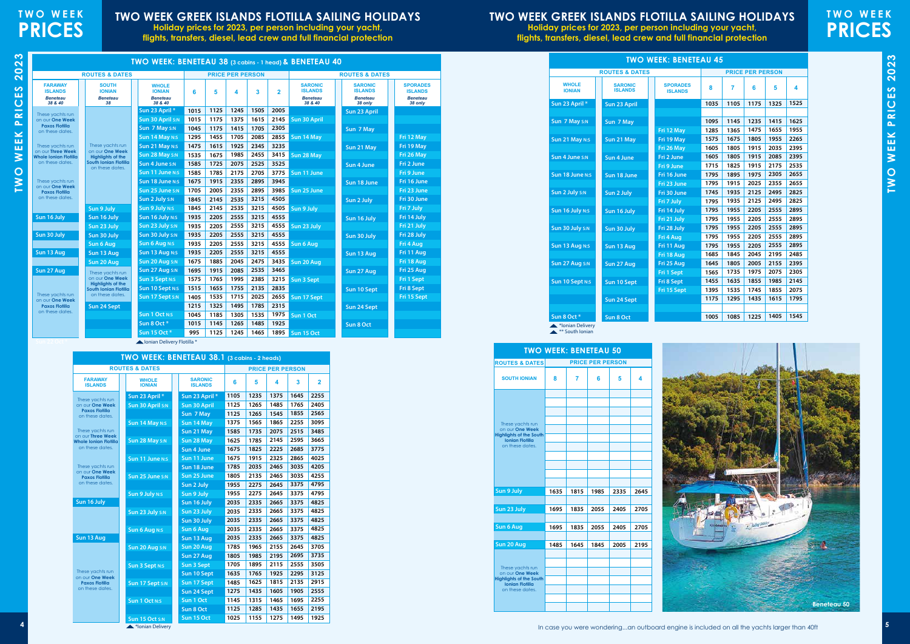TWO WEEK PRICES 2023 **TWO WEEK PRICES 2023**

# **TWO WEEK GREEK ISLANDS FLOTILLA SAILING HOLIDAYS**

**Holiday prices for 2023, per person including your yacht, flights, transfers, diesel, lead crew and full financial protection**

# **TWO WEEK PRICES**



# **TWO WEEK GREEK ISLANDS FLOTILLA SAILING HOLIDAYS**

**Holiday prices for 2023, per person including your yacht, flights, transfers, diesel, lead crew and full financial protection**

| <b>TWO WEEK: BENETEAU 50</b>                             |      |      |                         |      |      |  |  |  |  |  |  |  |
|----------------------------------------------------------|------|------|-------------------------|------|------|--|--|--|--|--|--|--|
| <b>ROUTES &amp; DATES</b>                                |      |      | <b>PRICE PER PERSON</b> |      |      |  |  |  |  |  |  |  |
| <b>SOUTH IONIAN</b>                                      | 8    | 7    | 6                       | 5    | 4    |  |  |  |  |  |  |  |
|                                                          |      |      |                         |      |      |  |  |  |  |  |  |  |
|                                                          |      |      |                         |      |      |  |  |  |  |  |  |  |
|                                                          |      |      |                         |      |      |  |  |  |  |  |  |  |
| These yachts run<br>on our One Week                      |      |      |                         |      |      |  |  |  |  |  |  |  |
| <b>Highlights of the South</b><br><b>Ionian Flotilla</b> |      |      |                         |      |      |  |  |  |  |  |  |  |
| on these dates.                                          |      |      |                         |      |      |  |  |  |  |  |  |  |
|                                                          |      |      |                         |      |      |  |  |  |  |  |  |  |
|                                                          |      |      |                         |      |      |  |  |  |  |  |  |  |
|                                                          |      |      |                         |      |      |  |  |  |  |  |  |  |
| Sun 9 July                                               | 1635 | 1815 | 1985                    | 2335 | 2645 |  |  |  |  |  |  |  |
|                                                          |      |      |                         |      |      |  |  |  |  |  |  |  |
| Sun 23 July                                              | 1695 | 1835 | 2055                    | 2405 | 2705 |  |  |  |  |  |  |  |
|                                                          |      |      |                         |      |      |  |  |  |  |  |  |  |
| Sun 6 Aug                                                | 1695 | 1835 | 2055                    | 2405 | 2705 |  |  |  |  |  |  |  |
|                                                          |      |      |                         |      |      |  |  |  |  |  |  |  |
| Sun 20 Aug                                               | 1485 | 1645 | 1845                    | 2005 | 2195 |  |  |  |  |  |  |  |
|                                                          |      |      |                         |      |      |  |  |  |  |  |  |  |
| These yachts run<br>on our One Week                      |      |      |                         |      |      |  |  |  |  |  |  |  |
| <b>Highlights of the South</b><br><b>Ionian Flotilla</b> |      |      |                         |      |      |  |  |  |  |  |  |  |
| on these dates.                                          |      |      |                         |      |      |  |  |  |  |  |  |  |
|                                                          |      |      |                         |      |      |  |  |  |  |  |  |  |
|                                                          |      |      |                         |      |      |  |  |  |  |  |  |  |



Ionian Delivery Flotilla \*

| <b>SPORADES</b>            |
|----------------------------|
| <b>ISLANDS</b>             |
| <b>Beneteau</b><br>38 only |
|                            |
|                            |
|                            |
| Fri 12 May                 |
|                            |
| Fri 19 May                 |
| Fri 26 May                 |
| Fri 2 June                 |
| Fri 9 June                 |
| Fri 16 June                |
| Fri 23 June                |
| Fri 30 June                |
| Fri 7 July                 |
| Fri 14 July                |
| Fri 21 July                |
| Fri 28 July                |
| Fri 4 Aug                  |
|                            |
| Fri 11 Aug                 |
| Fri 18 Aug                 |
| Fri 25 Aug                 |
| Fri 1 Sept                 |
| Fri 8 Sept                 |
| Fri 15 Sept                |
|                            |
|                            |
|                            |
|                            |

|                                                                | <b>ROUTES &amp; DATES</b>                              |                                                             |      |      | <b>PRICE PER PERSON</b> |      |                |                                                                | <b>ROUTES &amp; DATES</b>                                      |                                                               |
|----------------------------------------------------------------|--------------------------------------------------------|-------------------------------------------------------------|------|------|-------------------------|------|----------------|----------------------------------------------------------------|----------------------------------------------------------------|---------------------------------------------------------------|
| <b>FARAWAY</b><br><b>ISLANDS</b><br><b>Beneteau</b><br>38 & 40 | <b>SOUTH</b><br><b>IONIAN</b><br><b>Beneteau</b><br>38 | <b>WHOLE</b><br><b>IONIAN</b><br><b>Beneteau</b><br>38 & 40 | 6    | 5    | 4                       | 3    | $\overline{2}$ | <b>SARONIC</b><br><b>ISLANDS</b><br><b>Beneteau</b><br>38 & 40 | <b>SARONIC</b><br><b>ISLANDS</b><br><b>Beneteau</b><br>38 only | <b>SPORADE</b><br><b>ISLAND</b><br><b>Beneteat</b><br>38 only |
| These yachts run                                               |                                                        | Sun 23 April *                                              | 1015 | 1125 | 1245                    | 1505 | 2005           |                                                                | Sun 23 April                                                   |                                                               |
| on our One Week                                                |                                                        | Sun 30 April S:N                                            | 1015 | 1175 | 1375                    | 1615 | 2145           | <b>Sun 30 April</b>                                            |                                                                |                                                               |
| <b>Paxos Flotilla</b><br>on these dates.                       |                                                        | Sun 7 May S:N                                               | 1045 | 1175 | 1415                    | 1705 | 2305           |                                                                | Sun 7 May                                                      |                                                               |
|                                                                |                                                        | Sun 14 May N:S                                              | 1295 | 1455 | 1705                    | 2085 | 2855           | Sun 14 May                                                     |                                                                | Fri 12 May                                                    |
| These yachts run<br>on our Three Week                          | These yachts run<br>on our One Week                    | Sun 21 May N:S                                              | 1475 | 1615 | 1925                    | 2345 | 3235           |                                                                | Sun 21 May                                                     | Fri 19 May                                                    |
| Whole Ionian Flotilla                                          | <b>Highlights of the</b>                               | Sun 28 May S:N                                              | 1535 | 1675 | 1985                    | 2455 | 3415           | Sun 28 May                                                     |                                                                | Fri 26 May                                                    |
| on these dates.                                                | South Ionian Flotilla<br>on these dates.               | Sun 4 June S:N                                              | 1585 | 1725 | 2075                    | 2525 | 3525           |                                                                | Sun 4 June                                                     | Fri 2 June                                                    |
|                                                                |                                                        | Sun 11 June N:S                                             | 1585 | 1785 | 2175                    | 2705 | 3775           | Sun 11 June                                                    |                                                                | Fri 9 June                                                    |
| These yachts run                                               |                                                        | Sun 18 June N:S                                             | 1675 | 1915 | 2355                    | 2895 | 3945           |                                                                | Sun 18 June                                                    | Fri 16 June                                                   |
| on our One Week<br><b>Paxos Flotilla</b>                       |                                                        | Sun 25 June S:N                                             | 1705 | 2005 | 2355                    | 2895 | 3985           | Sun 25 June                                                    |                                                                | Fri 23 June                                                   |
| on these dates.                                                |                                                        | Sun 2 July S:N                                              | 1845 | 2145 | 2535                    | 3215 | 4505           |                                                                | Sun 2 July                                                     | Fri 30 June                                                   |
|                                                                | Sun 9 July                                             | Sun 9 July N:S                                              | 1845 | 2145 | 2535                    | 3215 | 4505           | Sun 9 July                                                     |                                                                | Fri 7 July                                                    |
| Sun 16 July                                                    | Sun 16 July                                            | Sun 16 July N:S                                             | 1935 | 2205 | 2555                    | 3215 | 4555           |                                                                | Sun 16 July                                                    | Fri 14 July                                                   |
|                                                                | Sun 23 July                                            | Sun 23 July S:N                                             | 1935 | 2205 | 2555                    | 3215 | 4555           | Sun 23 July                                                    |                                                                | Fri 21 July                                                   |
| Sun 30 July                                                    | Sun 30 July                                            | Sun 30 July S:N                                             | 1935 | 2205 | 2555                    | 3215 | 4555           |                                                                | Sun 30 July                                                    | Fri 28 July                                                   |
|                                                                | Sun 6 Aug                                              | Sun 6 Aug N:S                                               | 1935 | 2205 | 2555                    | 3215 | 4555           | Sun 6 Aug                                                      |                                                                | Fri 4 Aug                                                     |
| Sun 13 Aug                                                     | Sun 13 Aug                                             | Sun 13 Aug N:S                                              | 1935 | 2205 | 2555                    | 3215 | 4555           |                                                                | Sun 13 Aug                                                     | Fri 11 Aug                                                    |
|                                                                | Sun 20 Aug                                             | Sun 20 Aug S:N                                              | 1675 | 1885 | 2045                    | 2475 | 3435           | Sun 20 Aug                                                     |                                                                | Fri 18 Aug                                                    |
| Sun 27 Aug                                                     | These yachts run                                       | Sun 27 Aug S:N                                              | 1695 | 1915 | 2085                    | 2535 | 3465           |                                                                | Sun 27 Aug                                                     | Fri 25 Aug                                                    |
|                                                                | on our One Week<br><b>Highlights of the</b>            | Sun 3 Sept N:S                                              | 1575 | 1765 | 1995                    | 2385 | 3215           | <b>Sun 3 Sept</b>                                              |                                                                | <b>Fri 1 Sept</b>                                             |
|                                                                | South Ionian Flotilla                                  | Sun 10 Sept N:S                                             | 1515 | 1655 | 1755                    | 2135 | 2835           |                                                                | Sun 10 Sept                                                    | Fri 8 Sept                                                    |
| These yachts run<br>on our One Week                            | on these dates.                                        | Sun 17 Sept S:N                                             | 1405 | 1535 | 1715                    | 2025 | 2655           | Sun 17 Sept                                                    |                                                                | Fri 15 Sep                                                    |
| <b>Paxos Flotilla</b>                                          | Sun 24 Sept                                            |                                                             | 1215 | 1325 | 1495                    | 1785 | 2315           |                                                                | Sun 24 Sept                                                    |                                                               |
| on these dates.                                                |                                                        | <b>Sun 1 Oct N:S</b>                                        | 1045 | 1185 | 1305                    | 1535 | 1975           | Sun 1 Oct                                                      |                                                                |                                                               |
|                                                                |                                                        | Sun 8 Oct*                                                  | 1015 | 1145 | 1265                    | 1485 | 1925           |                                                                | Sun 8 Oct                                                      |                                                               |
|                                                                |                                                        | Sun 15 Oct *                                                | 995  | 1125 | 1245                    | 1465 | 1895           | Sun 15 Oct                                                     |                                                                |                                                               |

|                                                   | TWO WEEK: BENETEAU 38.1 (3 cabins - 2 heads) |                                  |                         |      |      |      |                |  |  |  |  |  |
|---------------------------------------------------|----------------------------------------------|----------------------------------|-------------------------|------|------|------|----------------|--|--|--|--|--|
|                                                   | <b>ROUTES &amp; DATES</b>                    |                                  | <b>PRICE PER PERSON</b> |      |      |      |                |  |  |  |  |  |
| <b>FARAWAY</b><br><b>ISLANDS</b>                  | <b>WHOLE</b><br><b>IONIAN</b>                | <b>SARONIC</b><br><b>ISLANDS</b> | 6                       | 5    | 4    | 3    | $\overline{2}$ |  |  |  |  |  |
| These yachts run                                  | Sun 23 April *                               | Sun 23 April *                   | 1105                    | 1235 | 1375 | 1645 | 2255           |  |  |  |  |  |
| on our One Week                                   | Sun 30 April S:N                             | <b>Sun 30 April</b>              | 1125                    | 1265 | 1485 | 1765 | 2405           |  |  |  |  |  |
| <b>Paxos Flotilla</b><br>on these dates.          |                                              | Sun 7 May                        | 1125                    | 1265 | 1545 | 1855 | 2565           |  |  |  |  |  |
|                                                   | Sun 14 May N:S                               | Sun 14 May                       | 1375                    | 1565 | 1865 | 2255 | 3095           |  |  |  |  |  |
| These yachts run                                  |                                              | Sun 21 May                       | 1585                    | 1735 | 2075 | 2515 | 3485           |  |  |  |  |  |
| on our Three Week<br><b>Whole Ionian Flotilla</b> | Sun 28 May S:N                               | Sun 28 May                       | 1625                    | 1785 | 2145 | 2595 | 3665           |  |  |  |  |  |
| on these dates.                                   |                                              | <b>Sun 4 June</b>                | 1675                    | 1825 | 2225 | 2685 | 3775           |  |  |  |  |  |
|                                                   | Sun 11 June N:S                              | Sun 11 June                      | 1675                    | 1915 | 2325 | 2865 | 4025           |  |  |  |  |  |
| These yachts run                                  |                                              | Sun 18 June                      | 1785                    | 2035 | 2465 | 3035 | 4205           |  |  |  |  |  |
| on our One Week<br><b>Paxos Flotilla</b>          | Sun 25 June S:N                              | Sun 25 June                      | 1805                    | 2135 | 2465 | 3035 | 4255           |  |  |  |  |  |
| on these dates.                                   |                                              | Sun 2 July                       | 1955                    | 2275 | 2645 | 3375 | 4795           |  |  |  |  |  |
|                                                   | Sun 9 July N:S                               | Sun 9 July                       | 1955                    | 2275 | 2645 | 3375 | 4795           |  |  |  |  |  |
| Sun 16 July                                       |                                              | Sun 16 July                      | 2035                    | 2335 | 2665 | 3375 | 4825           |  |  |  |  |  |
|                                                   | Sun 23 July S:N                              | Sun 23 July                      | 2035                    | 2335 | 2665 | 3375 | 4825           |  |  |  |  |  |
|                                                   |                                              | Sun 30 July                      | 2035                    | 2335 | 2665 | 3375 | 4825           |  |  |  |  |  |
|                                                   | <b>Sun 6 Aug N:S</b>                         | <b>Sun 6 Aug</b>                 | 2035                    | 2335 | 2665 | 3375 | 4825           |  |  |  |  |  |
| Sun 13 Aug                                        |                                              | Sun 13 Aug                       | 2035                    | 2335 | 2665 | 3375 | 4825           |  |  |  |  |  |
|                                                   | Sun 20 Aug S:N                               | Sun 20 Aug                       | 1785                    | 1965 | 2155 | 2645 | 3705           |  |  |  |  |  |
|                                                   |                                              | Sun 27 Aug                       | 1805                    | 1985 | 2195 | 2695 | 3735           |  |  |  |  |  |
|                                                   | <b>Sun 3 Sept N:S</b>                        | <b>Sun 3 Sept</b>                | 1705                    | 1895 | 2115 | 2555 | 3505           |  |  |  |  |  |
| These yachts run<br>on our One Week               |                                              | Sun 10 Sept                      | 1635                    | 1765 | 1925 | 2295 | 3125           |  |  |  |  |  |
| <b>Paxos Flotilla</b>                             | Sun 17 Sept s:N                              | Sun 17 Sept                      | 1485                    | 1625 | 1815 | 2135 | 2915           |  |  |  |  |  |
| on these dates.                                   |                                              | Sun 24 Sept                      | 1275                    | 1435 | 1605 | 1905 | 2555           |  |  |  |  |  |
|                                                   | <b>Sun 1 Oct N:S</b>                         | Sun 1 Oct                        | 1145                    | 1315 | 1465 | 1695 | 2255           |  |  |  |  |  |
|                                                   |                                              | Sun 8 Oct                        | 1125                    | 1285 | 1435 | 1655 | 2195           |  |  |  |  |  |
|                                                   | Sun 15 Oct S:N                               | Sun 15 Oct                       | 1025                    | 1155 | 1275 | 1495 | 1925           |  |  |  |  |  |
|                                                   | <b><i><u>*Innian Daliton</u></i></b>         |                                  |                         |      |      |      |                |  |  |  |  |  |

|                               | <b>ROUTES &amp; DATES</b>        |                                   |              |                | <b>PRICE PER PERSON</b> |              |              |
|-------------------------------|----------------------------------|-----------------------------------|--------------|----------------|-------------------------|--------------|--------------|
| <b>WHOLE</b><br><b>IONIAN</b> | <b>SARONIC</b><br><b>ISLANDS</b> | <b>SPORADES</b><br><b>ISLANDS</b> | 8            | $\overline{7}$ | 6                       | 5            | 4            |
| Sun 23 April *                | Sun 23 April                     |                                   | 1035         | 1105           | 1175                    | 1325         | 1525         |
| Sun 7 May S:N                 | Sun 7 May                        |                                   | 1095         | 1145           | 1235                    | 1415         | 1625         |
|                               |                                  | Fri 12 May                        | 1285         | 1365           | 1475                    | 1655         | 1955         |
| Sun 21 May N:S                | Sun 21 May                       | Fri 19 May                        | 1575         | 1675           | 1805                    | 1955         | 2265         |
|                               |                                  | Fri 26 May                        | 1605         | 1805           | 1915                    | 2035         | 2395         |
| Sun 4 June S:N                | Sun 4 June                       | Fri 2 June                        | 1605         | 1805           | 1915                    | 2085         | 2395         |
|                               |                                  | Fri 9 June                        | 1715         | 1825           | 1915                    | 2175         | 2535         |
| Sun 18 June N:S               | Sun 18 June                      | Fri 16 June                       | 1795         | 1895           | 1975                    | 2305         | 2655         |
|                               |                                  | Fri 23 June                       | 1795         | 1915           | 2025                    | 2355         | 2655         |
| Sun 2 July S:N                | Sun 2 July                       | Fri 30 June                       | 1745         | 1935           | 2125                    | 2495         | 2825         |
|                               |                                  | Fri 7 July                        | 1795         | 1935           | 2125                    | 2495         | 2825         |
| Sun 16 July N:S               | Sun 16 July                      | Fri 14 July                       | 1795<br>1795 | 1955<br>1955   | 2205<br>2205            | 2555<br>2555 | 2895<br>2895 |
| Sun 30 July S:N               |                                  | Fri 21 July<br>Fri 28 July        | 1795         | 1955           | 2205                    | 2555         | 2895         |
|                               | Sun 30 July                      | Fri 4 Aug                         | 1795         | 1955           | 2205                    | 2555         | 2895         |
| Sun 13 Aug N:S                | Sun 13 Aug                       | Fri 11 Aug                        | 1795         | 1955           | 2205                    | 2555         | 2895         |
|                               |                                  | Fri 18 Aug                        | 1685         | 1845           | 2045                    | 2195         | 2485         |
| Sun 27 Aug S:N                | Sun 27 Aug                       | Fri 25 Aug                        | 1645         | 1805           | 2005                    | 2155         | 2395         |
|                               |                                  | Fri 1 Sept                        | 1565         | 1735           | 1975                    | 2075         | 2305         |
| Sun 10 Sept N:S               | Sun 10 Sept                      | Fri 8 Sept                        | 1455         | 1635           | 1855                    | 1985         | 2145         |
|                               |                                  | Fri 15 Sept                       | 1395         | 1535           | 1745                    | 1855         | 2075         |
|                               | Sun 24 Sept                      |                                   | 1175         | 1295           | 1435                    | 1615         | 1795         |
|                               |                                  |                                   |              |                |                         |              |              |
| Sun 8 Oct*                    | Sun 8 Oct                        |                                   | 1005         | 1085           | 1225                    | 1405         | 1545         |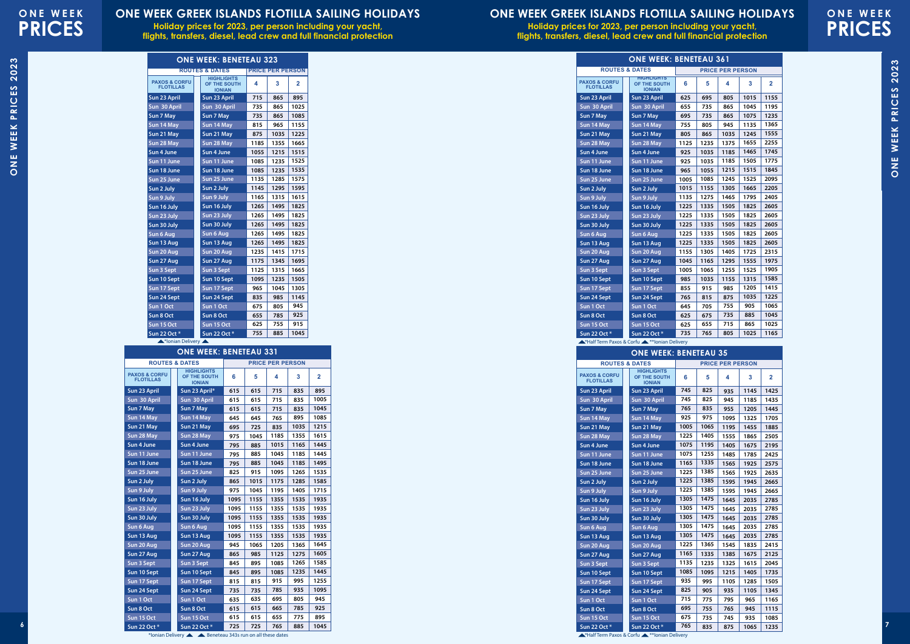# **ONE WEEK PRICES**

# **ONE WEEK PRICES**

### **ONE WEEK GREEK ISLANDS FLOTILLA SAILING HOLIDAYS**

**Holiday prices for 2023, per person including your yacht, flights, transfers, diesel, lead crew and full financial protection**

### **ONE WEEK GREEK ISLANDS FLOTILLA SAILING HOLIDAYS**

**Holiday prices for 2023, per person including your yacht, flights, transfers, diesel, lead crew and full financial protection**

\*Ionian Delivery

ONE WEEK PRICES 2022 ONE WEEK PRICES 2023 **ONE WEEK PRICES 2023**

\*Half Term Paxos & Corfu

| <b>ONE WEEK: BENETEAU 323</b>                |  |                                                    |      |                         |                |  |  |  |  |  |
|----------------------------------------------|--|----------------------------------------------------|------|-------------------------|----------------|--|--|--|--|--|
|                                              |  | <b>ROUTES &amp; DATES</b>                          |      | <b>PRICE PER PERSON</b> |                |  |  |  |  |  |
| <b>PAXOS &amp; CORFU</b><br><b>FLOTILLAS</b> |  | <b>HIGHLIGHTS</b><br>OF THE SOUTH<br><b>IONIAN</b> | 4    | 3                       | $\overline{2}$ |  |  |  |  |  |
| Sun 23 April                                 |  | Sun 23 April                                       | 715  | 865                     | 895            |  |  |  |  |  |
| Sun 30 April                                 |  | Sun 30 April                                       | 735  | 865                     | 1025           |  |  |  |  |  |
| Sun 7 May                                    |  | Sun 7 May                                          | 735  | 865                     | 1085           |  |  |  |  |  |
| Sun 14 May                                   |  | Sun 14 May                                         | 815  | 965                     | 1155           |  |  |  |  |  |
| Sun 21 May                                   |  | Sun 21 May                                         | 875  | 1035                    | 1225           |  |  |  |  |  |
| Sun 28 May                                   |  | Sun 28 May                                         | 1185 | 1355                    | 1665           |  |  |  |  |  |
| Sun 4 June                                   |  | Sun 4 June                                         | 1055 | 1215                    | 1515           |  |  |  |  |  |
| Sun 11 June                                  |  | Sun 11 June                                        | 1085 | 1235                    | 1525           |  |  |  |  |  |
| Sun 18 June                                  |  | Sun 18 June                                        | 1085 | 1235                    | 1535           |  |  |  |  |  |
| Sun 25 June                                  |  | Sun 25 June                                        | 1135 | 1285                    | 1575           |  |  |  |  |  |
| Sun 2 July                                   |  | Sun 2 July                                         | 1145 | 1295                    | 1595           |  |  |  |  |  |
| Sun 9 July                                   |  | Sun 9 July                                         | 1165 | 1315                    | 1615           |  |  |  |  |  |
| Sun 16 July                                  |  | Sun 16 July                                        | 1265 | 1495                    | 1825           |  |  |  |  |  |
| Sun 23 July                                  |  | Sun 23 July                                        | 1265 | 1495                    | 1825           |  |  |  |  |  |
| Sun 30 July                                  |  | Sun 30 July                                        | 1265 | 1495                    | 1825           |  |  |  |  |  |
| <b>Sun 6 Aug</b>                             |  | Sun 6 Aug                                          | 1265 | 1495                    | 1825           |  |  |  |  |  |
| Sun 13 Aug                                   |  | Sun 13 Aug                                         | 1265 | 1495                    | 1825           |  |  |  |  |  |
| Sun 20 Aug                                   |  | Sun 20 Aug                                         | 1235 | 1415                    | 1715           |  |  |  |  |  |
| Sun 27 Aug                                   |  | Sun 27 Aug                                         | 1175 | 1345                    | 1695           |  |  |  |  |  |
| Sun 3 Sept                                   |  | Sun 3 Sept                                         | 1125 | 1315                    | 1665           |  |  |  |  |  |
| Sun 10 Sept                                  |  | Sun 10 Sept                                        | 1095 | 1235                    | 1505           |  |  |  |  |  |
| Sun 17 Sept                                  |  | Sun 17 Sept                                        | 965  | 1045                    | 1305           |  |  |  |  |  |
| Sun 24 Sept                                  |  | Sun 24 Sept                                        | 835  | 985                     | 1145           |  |  |  |  |  |
| Sun 1 Oct                                    |  | Sun 1 Oct                                          | 675  | 805                     | 945            |  |  |  |  |  |
| Sun 8 Oct                                    |  | Sun 8 Oct                                          | 655  | 785                     | 925            |  |  |  |  |  |
| Sun 15 Oct                                   |  | Sun 15 Oct                                         | 625  | 755                     | 915            |  |  |  |  |  |
| Sun 22 Oct *                                 |  | Sun 22 Oct *                                       | 755  | 885                     | 1045           |  |  |  |  |  |

\*\*Ionian Delivery

### **ONE WEEK: BENETEAU 35**

|                                              | <b>ONE WEEK: BENETEAU 331</b>                      |      |      |                         |      |                |  |  |  |  |  |
|----------------------------------------------|----------------------------------------------------|------|------|-------------------------|------|----------------|--|--|--|--|--|
|                                              | <b>ROUTES &amp; DATES</b>                          |      |      | <b>PRICE PER PERSON</b> |      |                |  |  |  |  |  |
| <b>PAXOS &amp; CORFU</b><br><b>FLOTILLAS</b> | <b>HIGHLIGHTS</b><br>OF THE SOUTH<br><b>IONIAN</b> | 6    | 5    | 4                       | 3    | $\overline{2}$ |  |  |  |  |  |
| Sun 23 April                                 | Sun 23 April*                                      | 615  | 615  | 715                     | 835  | 895            |  |  |  |  |  |
| Sun 30 April                                 | Sun 30 April                                       | 615  | 615  | 715                     | 835  | 1005           |  |  |  |  |  |
| Sun 7 May                                    | Sun 7 May                                          | 615  | 615  | 715                     | 835  | 1045           |  |  |  |  |  |
| Sun 14 May                                   | Sun 14 May                                         | 645  | 645  | 765                     | 895  | 1085           |  |  |  |  |  |
| Sun 21 May                                   | Sun 21 May                                         | 695  | 725  | 835                     | 1035 | 1215           |  |  |  |  |  |
| Sun 28 May                                   | Sun 28 May                                         | 975  | 1045 | 1185                    | 1355 | 1615           |  |  |  |  |  |
| Sun 4 June                                   | Sun 4 June                                         | 795  | 885  | 1015                    | 1165 | 1445           |  |  |  |  |  |
| Sun 11 June                                  | Sun 11 June                                        | 795  | 885  | 1045                    | 1185 | 1445           |  |  |  |  |  |
| Sun 18 June                                  | Sun 18 June                                        | 795  | 885  | 1045                    | 1185 | 1495           |  |  |  |  |  |
| Sun 25 June                                  | Sun 25 June                                        | 825  | 915  | 1095                    | 1265 | 1535           |  |  |  |  |  |
| Sun 2 July                                   | Sun 2 July                                         | 865  | 1015 | 1175                    | 1285 | 1585           |  |  |  |  |  |
| Sun 9 July                                   | Sun 9 July                                         | 975  | 1045 | 1195                    | 1405 | 1715           |  |  |  |  |  |
| Sun 16 July                                  | Sun 16 July                                        | 1095 | 1155 | 1355                    | 1535 | 1935           |  |  |  |  |  |
| Sun 23 July                                  | Sun 23 July                                        | 1095 | 1155 | 1355                    | 1535 | 1935           |  |  |  |  |  |
| Sun 30 July                                  | Sun 30 July                                        | 1095 | 1155 | 1355                    | 1535 | 1935           |  |  |  |  |  |
| Sun 6 Aug                                    | Sun 6 Aug                                          | 1095 | 1155 | 1355                    | 1535 | 1935           |  |  |  |  |  |
| Sun 13 Aug                                   | Sun 13 Aug                                         | 1095 | 1155 | 1355                    | 1535 | 1935           |  |  |  |  |  |
| Sun 20 Aug                                   | Sun 20 Aug                                         | 945  | 1065 | 1205                    | 1365 | 1645           |  |  |  |  |  |
| Sun 27 Aug                                   | Sun 27 Aug                                         | 865  | 985  | 1125                    | 1275 | 1605           |  |  |  |  |  |
| Sun 3 Sept                                   | Sun 3 Sept                                         | 845  | 895  | 1085                    | 1265 | 1585           |  |  |  |  |  |
| Sun 10 Sept                                  | Sun 10 Sept                                        | 845  | 895  | 1085                    | 1235 | 1445           |  |  |  |  |  |
| Sun 17 Sept                                  | Sun 17 Sept                                        | 815  | 815  | 915                     | 995  | 1255           |  |  |  |  |  |
| Sun 24 Sept                                  | Sun 24 Sept                                        | 735  | 735  | 785                     | 935  | 1095           |  |  |  |  |  |
| Sun 1 Oct                                    | Sun 1 Oct                                          | 635  | 635  | 695                     | 805  | 945            |  |  |  |  |  |
| Sun 8 Oct                                    | Sun 8 Oct                                          | 615  | 615  | 665                     | 785  | 925            |  |  |  |  |  |
| Sun 15 Oct                                   | Sun 15 Oct                                         | 615  | 615  | 655                     | 775  | 895            |  |  |  |  |  |
| Sun 22 Oct *                                 | Sun 22 Oct *                                       | 725  | 725  | 765                     | 885  | 1045           |  |  |  |  |  |

\*Ionian Delivery **A** A Beneteau 343s run on all these dates

| <b>ROUTES &amp; DATES</b><br><b>PRICE PER PERSON</b><br><b>ROUTES &amp; DATES</b><br><b>PRICE PER PERSON</b><br><b>HIGHLIGHTS</b><br><b>HIGHLIGHTS</b><br><b>PAXOS &amp; CORFU</b><br><b>PAXOS &amp; CORFU</b><br>-5<br>$\overline{2}$<br>6<br>OF THE SOUTH<br>-3<br>$\overline{2}$<br>OF THE SOUTH<br>$\mathbf{3}$<br>4<br>6<br>-5<br>4<br><b>FLOTILLAS</b><br><b>FLOTILLAS</b><br><b>IONIAN</b><br><b>IONIAN</b><br>895<br>745<br>Sun 23 April<br>Sun 23 April*<br>615<br>615<br>715<br>835<br>825<br>935<br>1145 1425<br>Sun 23 April<br>Sun 23 April<br>825<br>Sun 30 April<br>1005<br>745<br>Sun 30 April<br>615<br>615<br>715<br>835<br>Sun 30 April<br>945<br>1185<br>Sun 30 April<br>1435<br>1045<br>765<br>835<br>Sun 7 May<br>615<br>835<br>Sun 7 May<br>615<br>715<br>955<br>1205<br>Sun 7 May<br>Sun 7 May<br>1445<br>925<br>765<br>895<br>1085<br>975<br>Sun 14 May<br>Sun 14 May<br>645<br>645<br>1325 1705<br>Sun 14 May<br>Sun 14 May<br>1095<br>1065<br>725<br>835<br>1035<br>1005<br>Sun 21 May<br>695<br>1215<br>Sun 21 May<br>1195   1455  <br>Sun 21 May<br>Sun 21 May<br>1885<br>1405<br>1355<br>1225<br>Sun 28 May<br>Sun 28 May<br>975<br>1045<br>1185<br>1615<br>Sun 28 May<br>Sun 28 May<br>1555<br>1865 2505<br>1165<br>Sun 4 June<br>1015<br>1445<br>1195<br>l Sun 4 June<br>795<br>885<br>1075<br>1405   1675   2195<br>Sun 4 June<br>Sun 4 June<br>1255<br>1045<br>1445<br>1075<br>Sun 11 June<br>1185<br>Sun 11 June<br>795<br>885<br>Sun 11 June<br>Sun 11 June<br>1485<br>1785 2425<br>1335<br>795<br>1045<br>1185<br>1495<br>1165<br>Sun 18 June<br>885<br>$1565$   1925   2575<br>Sun 18 June<br>Sun 18 June<br>Sun 18 June<br>1385<br>1225<br>Sun 25 June<br>Sun 25 June<br>825<br>915<br>1095<br>1265<br>1565<br>1535<br>1925 2635<br>Sun 25 June<br>Sun 25 June<br>1585<br>1385<br>1285<br>1225<br>865<br>1175<br>Sun 2 July<br>Sun 2 July<br>1015<br>1595   1945   2665<br>Sun 2 July<br>Sun 2 July<br>1385<br>1225<br>975<br>1195<br>1405<br>1715<br>Sun 9 July<br>Sun 9 July<br>1045<br>1595   1945  <br>Sun 9 July<br>Sun 9 July<br>2665<br>1155<br>1355<br>1535<br>1935<br>1305<br>Sun 16 July<br>Sun 16 July<br>1095<br>Sun 16 July<br>Sun 16 July<br>Sun 23 July<br>Sun 23 July<br>1095<br>1155<br>1355<br>1535<br>1935<br>1305<br>Sun 23 July<br>Sun 23 July<br>1355<br>1535<br>1155<br>1935<br>1305<br>Sun 30 July<br>Sun 30 July<br>1095<br>Sun 30 July<br>Sun 30 July<br>1475<br>1155<br>1355<br>1535<br>1935<br>1305<br>1095<br>$2035$ 2785<br>Sun 6 Aug<br>Sun 6 Aug<br>Sun 6 Aug<br>1645<br>Sun 6 Aug<br>1475<br>1355<br>1535<br>1935<br>1305<br>1155<br>1095<br>1645   2035   2785<br>Sun 13 Aug<br>Sun 13 Aug<br>Sun 13 Aug<br>Sun 13 Aug<br>Sun 20 Aug<br>1205<br>1365<br>1645<br>1225<br>1365<br>945<br>1065<br>Sun 20 Aug<br>Sun 20 Aug<br>1545  <br>Sun 20 Aug<br> 1835 2415<br>1605<br>1165<br>865<br>1125<br>1275<br>Sun 27 Aug<br>985<br>1335 1385 1675 2125<br>Sun 27 Aug<br>Sun 27 Aug<br>Sun 27 Aug<br>1265<br>1585<br>1135<br>Sun 3 Sept<br>845<br>1085<br>Sun 3 Sept<br>895<br>1235<br>1325<br>$1615$ 2045<br>Sun 3 Sept<br>Sun 3 Sept<br>1235<br>1445<br>895<br>1085<br>1085<br>Sun 10 Sept<br>845<br>Sun 10 Sept<br>1095   1215   1405   1735<br>Sun 10 Sept<br>Sun 10 Sept<br>Sun 17 Sept<br>815<br>815<br>915<br>995<br>1255<br>935<br>Sun 17 Sept<br>Sun 17 Sept<br>1105<br>1285<br>1505<br>Sun 17 Sept<br>995<br>785<br>935<br>1095<br>825<br>Sun 24 Sept<br>Sun 24 Sept<br>735<br>735<br>905<br>935<br> 1105 <br>1345<br>Sun 24 Sept<br>Sun 24 Sept<br>695<br>805<br>635<br>945<br>635<br>715<br>795<br>965<br>Sun 1 Oct<br>Sun 1 Oct<br>775<br>1165<br>Sun 1 Oct<br>Sun 1 Oct<br>785<br>925<br>695<br>665<br>615<br>615<br>755<br>765<br>945<br>1115<br>Sun 8 Oct<br>Sun 8 Oct<br>Sun 8 Oct<br>Sun 8 Oct<br>655<br>615<br>615<br>775<br>895<br>675<br>Sun 15 Oct<br>Sun 15 Oct<br>1085<br>735<br>745<br>935<br>Sun 15 Oct<br>Sun 15 Oct<br>1045<br>765<br>725<br>725<br>885<br>Sun 22 Oct *<br>765<br>1065<br>Sun 22 Oct *<br>835<br>875<br>Sun 22 Oct *<br>Sun 22 Oct * |  |  |  |  |  |  |  |
|----------------------------------------------------------------------------------------------------------------------------------------------------------------------------------------------------------------------------------------------------------------------------------------------------------------------------------------------------------------------------------------------------------------------------------------------------------------------------------------------------------------------------------------------------------------------------------------------------------------------------------------------------------------------------------------------------------------------------------------------------------------------------------------------------------------------------------------------------------------------------------------------------------------------------------------------------------------------------------------------------------------------------------------------------------------------------------------------------------------------------------------------------------------------------------------------------------------------------------------------------------------------------------------------------------------------------------------------------------------------------------------------------------------------------------------------------------------------------------------------------------------------------------------------------------------------------------------------------------------------------------------------------------------------------------------------------------------------------------------------------------------------------------------------------------------------------------------------------------------------------------------------------------------------------------------------------------------------------------------------------------------------------------------------------------------------------------------------------------------------------------------------------------------------------------------------------------------------------------------------------------------------------------------------------------------------------------------------------------------------------------------------------------------------------------------------------------------------------------------------------------------------------------------------------------------------------------------------------------------------------------------------------------------------------------------------------------------------------------------------------------------------------------------------------------------------------------------------------------------------------------------------------------------------------------------------------------------------------------------------------------------------------------------------------------------------------------------------------------------------------------------------------------------------------------------------------------------------------------------------------------------------------------------------------------------------------------------------------------------------------------------------------------------------------------------------------------------------------------------------------------------------------------------------------------------------------------------------------------------------------------------------------------------------------------------------------------------------------------------------------------------------------------------------------------------------------------------------------------------------------------------------------------------------------------------------------------------------------------------------------------------------------------------------------|--|--|--|--|--|--|--|
| 1475   1645   2035   2785<br>1475   1645   2035   2785<br>1475   1645   2035   2785<br>1235                                                                                                                                                                                                                                                                                                                                                                                                                                                                                                                                                                                                                                                                                                                                                                                                                                                                                                                                                                                                                                                                                                                                                                                                                                                                                                                                                                                                                                                                                                                                                                                                                                                                                                                                                                                                                                                                                                                                                                                                                                                                                                                                                                                                                                                                                                                                                                                                                                                                                                                                                                                                                                                                                                                                                                                                                                                                                                                                                                                                                                                                                                                                                                                                                                                                                                                                                                                                                                                                                                                                                                                                                                                                                                                                                                                                                                                                                                                                                        |  |  |  |  |  |  |  |
|                                                                                                                                                                                                                                                                                                                                                                                                                                                                                                                                                                                                                                                                                                                                                                                                                                                                                                                                                                                                                                                                                                                                                                                                                                                                                                                                                                                                                                                                                                                                                                                                                                                                                                                                                                                                                                                                                                                                                                                                                                                                                                                                                                                                                                                                                                                                                                                                                                                                                                                                                                                                                                                                                                                                                                                                                                                                                                                                                                                                                                                                                                                                                                                                                                                                                                                                                                                                                                                                                                                                                                                                                                                                                                                                                                                                                                                                                                                                                                                                                                                    |  |  |  |  |  |  |  |
|                                                                                                                                                                                                                                                                                                                                                                                                                                                                                                                                                                                                                                                                                                                                                                                                                                                                                                                                                                                                                                                                                                                                                                                                                                                                                                                                                                                                                                                                                                                                                                                                                                                                                                                                                                                                                                                                                                                                                                                                                                                                                                                                                                                                                                                                                                                                                                                                                                                                                                                                                                                                                                                                                                                                                                                                                                                                                                                                                                                                                                                                                                                                                                                                                                                                                                                                                                                                                                                                                                                                                                                                                                                                                                                                                                                                                                                                                                                                                                                                                                                    |  |  |  |  |  |  |  |
|                                                                                                                                                                                                                                                                                                                                                                                                                                                                                                                                                                                                                                                                                                                                                                                                                                                                                                                                                                                                                                                                                                                                                                                                                                                                                                                                                                                                                                                                                                                                                                                                                                                                                                                                                                                                                                                                                                                                                                                                                                                                                                                                                                                                                                                                                                                                                                                                                                                                                                                                                                                                                                                                                                                                                                                                                                                                                                                                                                                                                                                                                                                                                                                                                                                                                                                                                                                                                                                                                                                                                                                                                                                                                                                                                                                                                                                                                                                                                                                                                                                    |  |  |  |  |  |  |  |
|                                                                                                                                                                                                                                                                                                                                                                                                                                                                                                                                                                                                                                                                                                                                                                                                                                                                                                                                                                                                                                                                                                                                                                                                                                                                                                                                                                                                                                                                                                                                                                                                                                                                                                                                                                                                                                                                                                                                                                                                                                                                                                                                                                                                                                                                                                                                                                                                                                                                                                                                                                                                                                                                                                                                                                                                                                                                                                                                                                                                                                                                                                                                                                                                                                                                                                                                                                                                                                                                                                                                                                                                                                                                                                                                                                                                                                                                                                                                                                                                                                                    |  |  |  |  |  |  |  |
|                                                                                                                                                                                                                                                                                                                                                                                                                                                                                                                                                                                                                                                                                                                                                                                                                                                                                                                                                                                                                                                                                                                                                                                                                                                                                                                                                                                                                                                                                                                                                                                                                                                                                                                                                                                                                                                                                                                                                                                                                                                                                                                                                                                                                                                                                                                                                                                                                                                                                                                                                                                                                                                                                                                                                                                                                                                                                                                                                                                                                                                                                                                                                                                                                                                                                                                                                                                                                                                                                                                                                                                                                                                                                                                                                                                                                                                                                                                                                                                                                                                    |  |  |  |  |  |  |  |
|                                                                                                                                                                                                                                                                                                                                                                                                                                                                                                                                                                                                                                                                                                                                                                                                                                                                                                                                                                                                                                                                                                                                                                                                                                                                                                                                                                                                                                                                                                                                                                                                                                                                                                                                                                                                                                                                                                                                                                                                                                                                                                                                                                                                                                                                                                                                                                                                                                                                                                                                                                                                                                                                                                                                                                                                                                                                                                                                                                                                                                                                                                                                                                                                                                                                                                                                                                                                                                                                                                                                                                                                                                                                                                                                                                                                                                                                                                                                                                                                                                                    |  |  |  |  |  |  |  |
|                                                                                                                                                                                                                                                                                                                                                                                                                                                                                                                                                                                                                                                                                                                                                                                                                                                                                                                                                                                                                                                                                                                                                                                                                                                                                                                                                                                                                                                                                                                                                                                                                                                                                                                                                                                                                                                                                                                                                                                                                                                                                                                                                                                                                                                                                                                                                                                                                                                                                                                                                                                                                                                                                                                                                                                                                                                                                                                                                                                                                                                                                                                                                                                                                                                                                                                                                                                                                                                                                                                                                                                                                                                                                                                                                                                                                                                                                                                                                                                                                                                    |  |  |  |  |  |  |  |
|                                                                                                                                                                                                                                                                                                                                                                                                                                                                                                                                                                                                                                                                                                                                                                                                                                                                                                                                                                                                                                                                                                                                                                                                                                                                                                                                                                                                                                                                                                                                                                                                                                                                                                                                                                                                                                                                                                                                                                                                                                                                                                                                                                                                                                                                                                                                                                                                                                                                                                                                                                                                                                                                                                                                                                                                                                                                                                                                                                                                                                                                                                                                                                                                                                                                                                                                                                                                                                                                                                                                                                                                                                                                                                                                                                                                                                                                                                                                                                                                                                                    |  |  |  |  |  |  |  |
|                                                                                                                                                                                                                                                                                                                                                                                                                                                                                                                                                                                                                                                                                                                                                                                                                                                                                                                                                                                                                                                                                                                                                                                                                                                                                                                                                                                                                                                                                                                                                                                                                                                                                                                                                                                                                                                                                                                                                                                                                                                                                                                                                                                                                                                                                                                                                                                                                                                                                                                                                                                                                                                                                                                                                                                                                                                                                                                                                                                                                                                                                                                                                                                                                                                                                                                                                                                                                                                                                                                                                                                                                                                                                                                                                                                                                                                                                                                                                                                                                                                    |  |  |  |  |  |  |  |
|                                                                                                                                                                                                                                                                                                                                                                                                                                                                                                                                                                                                                                                                                                                                                                                                                                                                                                                                                                                                                                                                                                                                                                                                                                                                                                                                                                                                                                                                                                                                                                                                                                                                                                                                                                                                                                                                                                                                                                                                                                                                                                                                                                                                                                                                                                                                                                                                                                                                                                                                                                                                                                                                                                                                                                                                                                                                                                                                                                                                                                                                                                                                                                                                                                                                                                                                                                                                                                                                                                                                                                                                                                                                                                                                                                                                                                                                                                                                                                                                                                                    |  |  |  |  |  |  |  |
|                                                                                                                                                                                                                                                                                                                                                                                                                                                                                                                                                                                                                                                                                                                                                                                                                                                                                                                                                                                                                                                                                                                                                                                                                                                                                                                                                                                                                                                                                                                                                                                                                                                                                                                                                                                                                                                                                                                                                                                                                                                                                                                                                                                                                                                                                                                                                                                                                                                                                                                                                                                                                                                                                                                                                                                                                                                                                                                                                                                                                                                                                                                                                                                                                                                                                                                                                                                                                                                                                                                                                                                                                                                                                                                                                                                                                                                                                                                                                                                                                                                    |  |  |  |  |  |  |  |
|                                                                                                                                                                                                                                                                                                                                                                                                                                                                                                                                                                                                                                                                                                                                                                                                                                                                                                                                                                                                                                                                                                                                                                                                                                                                                                                                                                                                                                                                                                                                                                                                                                                                                                                                                                                                                                                                                                                                                                                                                                                                                                                                                                                                                                                                                                                                                                                                                                                                                                                                                                                                                                                                                                                                                                                                                                                                                                                                                                                                                                                                                                                                                                                                                                                                                                                                                                                                                                                                                                                                                                                                                                                                                                                                                                                                                                                                                                                                                                                                                                                    |  |  |  |  |  |  |  |
|                                                                                                                                                                                                                                                                                                                                                                                                                                                                                                                                                                                                                                                                                                                                                                                                                                                                                                                                                                                                                                                                                                                                                                                                                                                                                                                                                                                                                                                                                                                                                                                                                                                                                                                                                                                                                                                                                                                                                                                                                                                                                                                                                                                                                                                                                                                                                                                                                                                                                                                                                                                                                                                                                                                                                                                                                                                                                                                                                                                                                                                                                                                                                                                                                                                                                                                                                                                                                                                                                                                                                                                                                                                                                                                                                                                                                                                                                                                                                                                                                                                    |  |  |  |  |  |  |  |
|                                                                                                                                                                                                                                                                                                                                                                                                                                                                                                                                                                                                                                                                                                                                                                                                                                                                                                                                                                                                                                                                                                                                                                                                                                                                                                                                                                                                                                                                                                                                                                                                                                                                                                                                                                                                                                                                                                                                                                                                                                                                                                                                                                                                                                                                                                                                                                                                                                                                                                                                                                                                                                                                                                                                                                                                                                                                                                                                                                                                                                                                                                                                                                                                                                                                                                                                                                                                                                                                                                                                                                                                                                                                                                                                                                                                                                                                                                                                                                                                                                                    |  |  |  |  |  |  |  |
|                                                                                                                                                                                                                                                                                                                                                                                                                                                                                                                                                                                                                                                                                                                                                                                                                                                                                                                                                                                                                                                                                                                                                                                                                                                                                                                                                                                                                                                                                                                                                                                                                                                                                                                                                                                                                                                                                                                                                                                                                                                                                                                                                                                                                                                                                                                                                                                                                                                                                                                                                                                                                                                                                                                                                                                                                                                                                                                                                                                                                                                                                                                                                                                                                                                                                                                                                                                                                                                                                                                                                                                                                                                                                                                                                                                                                                                                                                                                                                                                                                                    |  |  |  |  |  |  |  |
|                                                                                                                                                                                                                                                                                                                                                                                                                                                                                                                                                                                                                                                                                                                                                                                                                                                                                                                                                                                                                                                                                                                                                                                                                                                                                                                                                                                                                                                                                                                                                                                                                                                                                                                                                                                                                                                                                                                                                                                                                                                                                                                                                                                                                                                                                                                                                                                                                                                                                                                                                                                                                                                                                                                                                                                                                                                                                                                                                                                                                                                                                                                                                                                                                                                                                                                                                                                                                                                                                                                                                                                                                                                                                                                                                                                                                                                                                                                                                                                                                                                    |  |  |  |  |  |  |  |
|                                                                                                                                                                                                                                                                                                                                                                                                                                                                                                                                                                                                                                                                                                                                                                                                                                                                                                                                                                                                                                                                                                                                                                                                                                                                                                                                                                                                                                                                                                                                                                                                                                                                                                                                                                                                                                                                                                                                                                                                                                                                                                                                                                                                                                                                                                                                                                                                                                                                                                                                                                                                                                                                                                                                                                                                                                                                                                                                                                                                                                                                                                                                                                                                                                                                                                                                                                                                                                                                                                                                                                                                                                                                                                                                                                                                                                                                                                                                                                                                                                                    |  |  |  |  |  |  |  |
|                                                                                                                                                                                                                                                                                                                                                                                                                                                                                                                                                                                                                                                                                                                                                                                                                                                                                                                                                                                                                                                                                                                                                                                                                                                                                                                                                                                                                                                                                                                                                                                                                                                                                                                                                                                                                                                                                                                                                                                                                                                                                                                                                                                                                                                                                                                                                                                                                                                                                                                                                                                                                                                                                                                                                                                                                                                                                                                                                                                                                                                                                                                                                                                                                                                                                                                                                                                                                                                                                                                                                                                                                                                                                                                                                                                                                                                                                                                                                                                                                                                    |  |  |  |  |  |  |  |
|                                                                                                                                                                                                                                                                                                                                                                                                                                                                                                                                                                                                                                                                                                                                                                                                                                                                                                                                                                                                                                                                                                                                                                                                                                                                                                                                                                                                                                                                                                                                                                                                                                                                                                                                                                                                                                                                                                                                                                                                                                                                                                                                                                                                                                                                                                                                                                                                                                                                                                                                                                                                                                                                                                                                                                                                                                                                                                                                                                                                                                                                                                                                                                                                                                                                                                                                                                                                                                                                                                                                                                                                                                                                                                                                                                                                                                                                                                                                                                                                                                                    |  |  |  |  |  |  |  |
|                                                                                                                                                                                                                                                                                                                                                                                                                                                                                                                                                                                                                                                                                                                                                                                                                                                                                                                                                                                                                                                                                                                                                                                                                                                                                                                                                                                                                                                                                                                                                                                                                                                                                                                                                                                                                                                                                                                                                                                                                                                                                                                                                                                                                                                                                                                                                                                                                                                                                                                                                                                                                                                                                                                                                                                                                                                                                                                                                                                                                                                                                                                                                                                                                                                                                                                                                                                                                                                                                                                                                                                                                                                                                                                                                                                                                                                                                                                                                                                                                                                    |  |  |  |  |  |  |  |
|                                                                                                                                                                                                                                                                                                                                                                                                                                                                                                                                                                                                                                                                                                                                                                                                                                                                                                                                                                                                                                                                                                                                                                                                                                                                                                                                                                                                                                                                                                                                                                                                                                                                                                                                                                                                                                                                                                                                                                                                                                                                                                                                                                                                                                                                                                                                                                                                                                                                                                                                                                                                                                                                                                                                                                                                                                                                                                                                                                                                                                                                                                                                                                                                                                                                                                                                                                                                                                                                                                                                                                                                                                                                                                                                                                                                                                                                                                                                                                                                                                                    |  |  |  |  |  |  |  |
|                                                                                                                                                                                                                                                                                                                                                                                                                                                                                                                                                                                                                                                                                                                                                                                                                                                                                                                                                                                                                                                                                                                                                                                                                                                                                                                                                                                                                                                                                                                                                                                                                                                                                                                                                                                                                                                                                                                                                                                                                                                                                                                                                                                                                                                                                                                                                                                                                                                                                                                                                                                                                                                                                                                                                                                                                                                                                                                                                                                                                                                                                                                                                                                                                                                                                                                                                                                                                                                                                                                                                                                                                                                                                                                                                                                                                                                                                                                                                                                                                                                    |  |  |  |  |  |  |  |
|                                                                                                                                                                                                                                                                                                                                                                                                                                                                                                                                                                                                                                                                                                                                                                                                                                                                                                                                                                                                                                                                                                                                                                                                                                                                                                                                                                                                                                                                                                                                                                                                                                                                                                                                                                                                                                                                                                                                                                                                                                                                                                                                                                                                                                                                                                                                                                                                                                                                                                                                                                                                                                                                                                                                                                                                                                                                                                                                                                                                                                                                                                                                                                                                                                                                                                                                                                                                                                                                                                                                                                                                                                                                                                                                                                                                                                                                                                                                                                                                                                                    |  |  |  |  |  |  |  |
|                                                                                                                                                                                                                                                                                                                                                                                                                                                                                                                                                                                                                                                                                                                                                                                                                                                                                                                                                                                                                                                                                                                                                                                                                                                                                                                                                                                                                                                                                                                                                                                                                                                                                                                                                                                                                                                                                                                                                                                                                                                                                                                                                                                                                                                                                                                                                                                                                                                                                                                                                                                                                                                                                                                                                                                                                                                                                                                                                                                                                                                                                                                                                                                                                                                                                                                                                                                                                                                                                                                                                                                                                                                                                                                                                                                                                                                                                                                                                                                                                                                    |  |  |  |  |  |  |  |
|                                                                                                                                                                                                                                                                                                                                                                                                                                                                                                                                                                                                                                                                                                                                                                                                                                                                                                                                                                                                                                                                                                                                                                                                                                                                                                                                                                                                                                                                                                                                                                                                                                                                                                                                                                                                                                                                                                                                                                                                                                                                                                                                                                                                                                                                                                                                                                                                                                                                                                                                                                                                                                                                                                                                                                                                                                                                                                                                                                                                                                                                                                                                                                                                                                                                                                                                                                                                                                                                                                                                                                                                                                                                                                                                                                                                                                                                                                                                                                                                                                                    |  |  |  |  |  |  |  |
|                                                                                                                                                                                                                                                                                                                                                                                                                                                                                                                                                                                                                                                                                                                                                                                                                                                                                                                                                                                                                                                                                                                                                                                                                                                                                                                                                                                                                                                                                                                                                                                                                                                                                                                                                                                                                                                                                                                                                                                                                                                                                                                                                                                                                                                                                                                                                                                                                                                                                                                                                                                                                                                                                                                                                                                                                                                                                                                                                                                                                                                                                                                                                                                                                                                                                                                                                                                                                                                                                                                                                                                                                                                                                                                                                                                                                                                                                                                                                                                                                                                    |  |  |  |  |  |  |  |
|                                                                                                                                                                                                                                                                                                                                                                                                                                                                                                                                                                                                                                                                                                                                                                                                                                                                                                                                                                                                                                                                                                                                                                                                                                                                                                                                                                                                                                                                                                                                                                                                                                                                                                                                                                                                                                                                                                                                                                                                                                                                                                                                                                                                                                                                                                                                                                                                                                                                                                                                                                                                                                                                                                                                                                                                                                                                                                                                                                                                                                                                                                                                                                                                                                                                                                                                                                                                                                                                                                                                                                                                                                                                                                                                                                                                                                                                                                                                                                                                                                                    |  |  |  |  |  |  |  |
|                                                                                                                                                                                                                                                                                                                                                                                                                                                                                                                                                                                                                                                                                                                                                                                                                                                                                                                                                                                                                                                                                                                                                                                                                                                                                                                                                                                                                                                                                                                                                                                                                                                                                                                                                                                                                                                                                                                                                                                                                                                                                                                                                                                                                                                                                                                                                                                                                                                                                                                                                                                                                                                                                                                                                                                                                                                                                                                                                                                                                                                                                                                                                                                                                                                                                                                                                                                                                                                                                                                                                                                                                                                                                                                                                                                                                                                                                                                                                                                                                                                    |  |  |  |  |  |  |  |

| <b>ONE WEEK: BENETEAU 361</b>                |                                                    |                         |      |      |      |                |  |  |
|----------------------------------------------|----------------------------------------------------|-------------------------|------|------|------|----------------|--|--|
| <b>ROUTES &amp; DATES</b>                    |                                                    | <b>PRICE PER PERSON</b> |      |      |      |                |  |  |
| <b>PAXOS &amp; CORFU</b><br><b>FLOTILLAS</b> | <b>HIGHLIGHTS</b><br>OF THE SOUTH<br><b>IONIAN</b> | 6                       | 5    | 4    | 3    | $\overline{2}$ |  |  |
| Sun 23 April                                 | Sun 23 April                                       | 625                     | 695  | 805  | 1015 | 1155           |  |  |
| Sun 30 April                                 | Sun 30 April                                       | 655                     | 735  | 865  | 1045 | 1195           |  |  |
| Sun 7 May                                    | Sun 7 May                                          | 695                     | 735  | 865  | 1075 | 1235           |  |  |
| Sun 14 May                                   | Sun 14 May                                         | 755                     | 805  | 945  | 1135 | 1365           |  |  |
| Sun 21 May                                   | Sun 21 May                                         | 805                     | 865  | 1035 | 1245 | 1555           |  |  |
| Sun 28 May                                   | Sun 28 May                                         | 1125                    | 1235 | 1375 | 1655 | 2255           |  |  |
| Sun 4 June                                   | Sun 4 June                                         | 925                     | 1035 | 1185 | 1465 | 1745           |  |  |
| Sun 11 June                                  | Sun 11 June                                        | 925                     | 1035 | 1185 | 1505 | 1775           |  |  |
| Sun 18 June                                  | Sun 18 June                                        | 965                     | 1055 | 1215 | 1515 | 1845           |  |  |
| Sun 25 June                                  | Sun 25 June                                        | 1005                    | 1085 | 1245 | 1525 | 2095           |  |  |
| Sun 2 July                                   | Sun 2 July                                         | 1015                    | 1155 | 1305 | 1665 | 2205           |  |  |
| Sun 9 July                                   | Sun 9 July                                         | 1135                    | 1275 | 1465 | 1795 | 2405           |  |  |
| Sun 16 July                                  | Sun 16 July                                        | 1225                    | 1335 | 1505 | 1825 | 2605           |  |  |
| Sun 23 July                                  | Sun 23 July                                        | 1225                    | 1335 | 1505 | 1825 | 2605           |  |  |
| Sun 30 July                                  | Sun 30 July                                        | 1225                    | 1335 | 1505 | 1825 | 2605           |  |  |
| Sun 6 Aug                                    | Sun 6 Aug                                          | 1225                    | 1335 | 1505 | 1825 | 2605           |  |  |
| Sun 13 Aug                                   | Sun 13 Aug                                         | 1225                    | 1335 | 1505 | 1825 | 2605           |  |  |
| Sun 20 Aug                                   | Sun 20 Aug                                         | 1155                    | 1305 | 1405 | 1725 | 2315           |  |  |
| Sun 27 Aug                                   | Sun 27 Aug                                         | 1045                    | 1165 | 1295 | 1555 | 1975           |  |  |
| <b>Sun 3 Sept</b>                            | <b>Sun 3 Sept</b>                                  | 1005                    | 1065 | 1255 | 1525 | 1905           |  |  |
| Sun 10 Sept                                  | Sun 10 Sept                                        | 985                     | 1035 | 1155 | 1315 | 1585           |  |  |
| Sun 17 Sept                                  | Sun 17 Sept                                        | 855                     | 915  | 985  | 1205 | 1415           |  |  |
| Sun 24 Sept                                  | Sun 24 Sept                                        | 765                     | 815  | 875  | 1035 | 1225           |  |  |
| Sun 1 Oct                                    | Sun 1 Oct                                          | 645                     | 705  | 755  | 905  | 1065           |  |  |
| Sun 8 Oct                                    | Sun 8 Oct                                          | 625                     | 675  | 735  | 885  | 1045           |  |  |
| Sun 15 Oct                                   | Sun 15 Oct                                         | 625                     | 655  | 715  | 865  | 1025           |  |  |
| Sun 22 Oct *                                 | Sun 22 Oct *                                       | 735                     | 765  | 805  | 1025 | 1165           |  |  |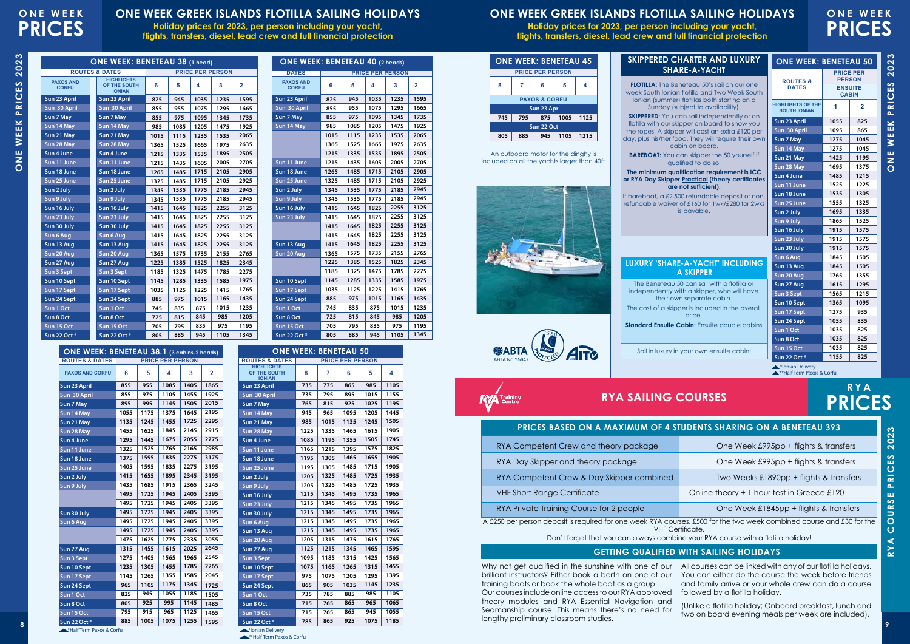**ONE WEEK PRICES 2023**

WEEK

 $\frac{1}{Z}$  $\overline{O}$ 

PRICES

 $\infty$ 

# **ONE WEEK PRICES**

### **ONE WEEK GREEK ISLANDS FLOTILLA SAILING HOLIDAYS**

**Holiday prices for 2023, per person including your yacht, flights, transfers, diesel, lead crew and full financial protection**

\*Half Term Paxos & Corfu

**PAXOS AND CORFU**

**Sun 23 April Sun 30 April Sun 7 May Sun 14 May Sun 21 May Sun 28 May Sun 4 June Sun 11 June Sun 18 June Sun 25 June Sun 2 July Sun 9 July**

**Sun 30 July Sun 6 Aug**

**Sun 27 Aug Sun 3 Sept Sun 10 Sept Sun 17 Sept Sun 24 Sept Sun 1 Oct Sun 8 Oct Sun 15 Oct Sun 22 Oct \***

**ROUTES & DATES PRICE PER PERSON ONE WEEK: BENETEAU 38.1 (3 cabins-2 heads)**

**5 4 3 2**

**ROUTES & DATES**

\*\*Half Term Paxos & Corfu **A**\*Ionian Delivery

### **PENTS SHARING ON A BENETEAU 393**

tificate.

**ONE WEEK: BENETEAU 50**

**PRICE PER PERSON 7 6 5 4**

**HIGHLIGHTS OF THE SOUTH IONIAN Sun 23 April Sun 30 April Sun 7 May Sun 14 May Sun 21 May Sun 28 May Sun 4 June Sun 11 June Sun 18 June Sun 25 June Sun 2 July Sun 9 July Sun 16 July Sun 23 July Sun 30 July Sun 6 Aug Sun 13 Aug**

**Sun 8 Oct Sun 15 Oct Sun 22 Oct \*** **ONE WEEK PRICES 2023**

WEEK

**DNE** 

PRICES

# **ONE WEEK PRICES**

## **ONE WEEK GREEK ISLANDS FLOTILLA SAILING HOLIDAYS**

**Holiday prices for 2023, per person including your yacht, flights, transfers, diesel, lead crew and full financial protection**

> $\delta$ oat, a £2,500 refundable deposit able waiver of £160 for 1wk/£280 fo is payable.

#### **RY 'SHARE-A-YACHT' INCLU A SKIPPER**

Beneteau 50 can sail with a flotilla independently with a skipper, who will have their own separate cabin. The cost of a skipper is included in the overall price. **Standard Ensuite Cabin:** Ensuite double c

Sail in luxury in your own ensuite cabi

Why not get qualified in the sunshine with one of our brilliant instructors? Either book a berth on one of our training boats or book the whole boat as a group. Our courses include online access to our RYA approved

**ROUTES & DATES PRICE PER PERSON ONE WEEK: BENETEAU 38 (1 head)** 





| PRICES BASED ON A MAXIMUM OF 4 STUI |
|-------------------------------------|
|-------------------------------------|

**RYA**

**PRICES**

| RYA Competent Crew and theory package                                                                                                    | One Week £995pp + flights & transfers       |  |  |  |  |
|------------------------------------------------------------------------------------------------------------------------------------------|---------------------------------------------|--|--|--|--|
| RYA Day Skipper and theory package                                                                                                       | One Week £995pp + flights & transfers       |  |  |  |  |
| RYA Competent Crew & Day Skipper combined                                                                                                | Two Weeks £1890pp + flights & transfers     |  |  |  |  |
| <b>VHF Short Range Certificate</b>                                                                                                       | Online theory $+1$ hour test in Greece £120 |  |  |  |  |
| RYA Private Training Course for 2 people                                                                                                 | One Week £1845pp + flights & transfers      |  |  |  |  |
| A £250 per person deposit is required for one week RYA courses, £500 for the two week combined course and £30 for the<br>VHF Cartificate |                                             |  |  |  |  |

Don't forget that you can always combine your RYA course with a flotilla holiday!

theory modules and RYA Essential Navigation and Seamanship course. This means there's no need for lengthy preliminary classroom studies.

| If barel<br>refund |
|--------------------|
| LUXU               |
| The                |









| <b>A</b> Training |  |  |
|-------------------|--|--|

include

| KTA SAILING                   |  |
|-------------------------------|--|
| ES BASED ON A MAXIMUM OF 4 S  |  |
| atant Craw and thaon, nackage |  |

| RYA Competent Crew and theory package                                       |
|-----------------------------------------------------------------------------|
| RYA Day Skipper and theory package                                          |
| RYA Competent Crew & Day Skipper combined                                   |
| <b>VHF Short Range Certificate</b>                                          |
| RYA Private Training Course for 2 people                                    |
| 250 per person deposit is required for one week RYA cour.<br><b>VHF Cer</b> |
| Don't forget that you can always combir                                     |

All courses can be linked with any of our flotilla holidays. You can either do the course the week before friends and family arrive or your whole crew can do a course followed by a flotilla holiday.



(Unlike a flotilla holiday; Onboard breakfast, lunch and two on board evening meals per week are included).

#### **GETTING QUALIFIED WITH SAILING HOLIDAYS**

**5 4 3 2**

**Sun 20 Aug Sun 27 Aug Sun 3 Sept Sun 10 Sept Sun 17 Sept Sun 24 Sept Sun 1 Oct** 

**Sun 23 April Sun 30 April Sun 7 May Sun 14 May Sun 21 May Sun 28 May Sun 4 June Sun 11 June Sun 18 June Sun 25 June Sun 2 July Sun 9 July Sun 16 July Sun 23 July Sun 30 July Sun 6 Aug Sun 13 Aug Sun 20 Aug Sun 27 Aug Sun 3 Sept Sun 10 Sept Sun 17 Sept Sun 24 Sept Sun 1 Oct Sun 8 Oct Sun 15 Oct Sun 22 Oct \***

**HIGHLIGHTS OF THE SOUTH IONIAN**

**Sun 23 April Sun 30 April Sun 7 May Sun 14 May Sun 21 May Sun 28 May Sun 4 June Sun 11 June Sun 18 June Sun 25 June Sun 2 July Sun 9 July Sun 16 July Sun 23 July Sun 30 July Sun 6 Aug Sun 13 Aug Sun 20 Aug Sun 27 Aug Sun 3 Sept Sun 10 Sept Sun 17 Sept Sun 24 Sept Sun 1 Oct Sun 8 Oct Sun 15 Oct Sun 22 Oct \***

**PAXOS AND<br>CORFU** 

| URY                     | <b>ONE WEEK: BENETEAU 50</b>                    |                                                                     |                |  |  |  |  |
|-------------------------|-------------------------------------------------|---------------------------------------------------------------------|----------------|--|--|--|--|
|                         | <b>ROUTES &amp;</b>                             | <b>PRICE PER</b><br><b>PERSON</b><br><b>ENSUITE</b><br><b>CABIN</b> |                |  |  |  |  |
| one<br>South<br>n a     | <b>DATES</b>                                    |                                                                     |                |  |  |  |  |
|                         | <b>HIGHLIGHTS OF THE</b><br><b>SOUTH IONIAN</b> | 1                                                                   | $\overline{2}$ |  |  |  |  |
| or on<br>you            | Sun 23 April                                    | 1055                                                                | 825            |  |  |  |  |
| 20 <sub>per</sub>       | Sun 30 April                                    | 1095                                                                | 865            |  |  |  |  |
| eir own                 | Sun 7 May                                       | 1275                                                                | 1045           |  |  |  |  |
|                         | Sun 14 May                                      | 1275                                                                | 1045           |  |  |  |  |
| self if                 | Sun 21 May                                      | 1425                                                                | 1195           |  |  |  |  |
|                         | Sun 28 May                                      | 1695                                                                | 1375           |  |  |  |  |
| s ICC<br><b>ficates</b> | Sun 4 June                                      | 1485                                                                | 1215           |  |  |  |  |
|                         | Sun 11 June                                     | 1525                                                                | 1225           |  |  |  |  |
| or non-                 | Sun 18 June                                     | 1535                                                                | 1305           |  |  |  |  |
| or 2wks                 | Sun 25 June                                     | 1555                                                                | 1325           |  |  |  |  |
|                         | Sun 2 July                                      | 1695                                                                | 1335           |  |  |  |  |
|                         | Sun 9 July                                      | 1865                                                                | 1525           |  |  |  |  |
|                         | Sun 16 July                                     | 1915                                                                | 1575           |  |  |  |  |
|                         | Sun 23 July                                     | 1915                                                                | 1575           |  |  |  |  |
|                         | Sun 30 July                                     | 1915                                                                | 1575           |  |  |  |  |
|                         | Sun 6 Aug                                       | 1845                                                                | 1505           |  |  |  |  |
| <b>DING</b>             | Sun 13 Aug                                      | 1845                                                                | 1505           |  |  |  |  |
|                         | Sun 20 Aug                                      | 1765                                                                | 1355           |  |  |  |  |
| or                      | Sun 27 Aug                                      | 1615                                                                | 1295           |  |  |  |  |
| iave                    | Sun 3 Sept                                      | 1565                                                                | 1215           |  |  |  |  |
| verall                  | Sun 10 Sept                                     | 1365                                                                | 1095           |  |  |  |  |
|                         | Sun 17 Sept                                     | 1275                                                                | 935            |  |  |  |  |
| abins                   | Sun 24 Sept                                     | 1055                                                                | 835            |  |  |  |  |
|                         | Sun 1 Oct                                       | 1035                                                                | 825            |  |  |  |  |
|                         | Sun 8 Oct                                       | 1035                                                                | 825            |  |  |  |  |
| n!                      | Sun 15 Oct                                      | 1035                                                                | 825            |  |  |  |  |
|                         | Sun 22 Oct *                                    | 1155                                                                | 825            |  |  |  |  |

**CORFU 6 5 4 3 2**

**DATES PRICE PER PERSON ONE WEEK: BENETEAU 40 (2 heads)**

|                                | <b>ONE WEEK: BENETEAU 5</b>                     | <b>SKIPPERED CHARTER AND LUXURY</b>                 |      | <b>ONE WEEK: BENETEAU 45</b>                                                    |                          |     |     |  |
|--------------------------------|-------------------------------------------------|-----------------------------------------------------|------|---------------------------------------------------------------------------------|--------------------------|-----|-----|--|
| <b>PRICE PER</b>               |                                                 | <b>SHARE-A-YACHT</b>                                |      | <b>PRICE PER PERSON</b>                                                         |                          |     |     |  |
| <b>PERSON</b>                  | <b>ROUTES &amp;</b>                             | <b>FLOTILLA:</b> The Beneteau 50's sail on our one  | 4    | 5                                                                               | 6                        |     | 8   |  |
| <b>ENSUITE</b><br><b>CABIN</b> | <b>DATES</b>                                    | week South Jonian flotilla and Two Week South       |      |                                                                                 |                          |     |     |  |
|                                |                                                 | Ionian (summer) flotillas both starting on a        |      |                                                                                 | <b>PAXOS &amp; CORFU</b> |     |     |  |
| 1<br>$\mathbf{2}$              | <b>HIGHLIGHTS OF THE</b><br><b>SOUTH IONIAN</b> | Sunday (subject to availability).                   |      | Sun 23 Apr                                                                      |                          |     |     |  |
| 825<br>1055                    | Sun 23 April                                    | <b>SKIPPERED:</b> You can sail independently or on  | 1125 | 1005                                                                            | 875                      | 795 | 745 |  |
|                                |                                                 | flotilla with our skipper on board to show you      |      | Sun 22 Oct                                                                      |                          |     |     |  |
| 865<br>1095                    | Sun 30 April                                    | the ropes. A skipper will cost an extra £120 per    |      |                                                                                 |                          |     |     |  |
| 104<br>1275                    | Sun 7 May                                       | day, plus his/her food. They will require their own | 1215 | 1105                                                                            | 945                      | 885 | 805 |  |
| 104<br>1275                    | Sun 14 May                                      | cabin on board.                                     |      |                                                                                 |                          |     |     |  |
| 119<br>1425                    | Sun 21 May                                      | <b>BAREBOAT:</b> You can skipper the 50 yourself if |      | An outboard motor for the dinghy is<br>luded on all the yachts larger than 40ft |                          |     |     |  |
| 137<br>1695                    | Sun 28 May                                      | aualified to do so!                                 |      |                                                                                 |                          |     |     |  |

**Sun 23 April Sun 30 April Sun 7 May Sun 14 May**

**Sun 11 June Sun 18 June Sun 25 June Sun 2 July Sun 9 July Sun 16 July Sun 23 July**

**Sun 13 Aug Sun 20 Aug**

**Sun 10 Sept Sun 17 Sept Sun 24 Sept Sun 1 Oct Sun 8 Oct Sun 15 Oct Sun 22 Oct \***

**PAXOS AND CORFU**

\*\*\*Half Term Paxos & Corfu

| 1475 | 1625 |
|------|------|
| 1315 | 1455 |
| 1275 | 1405 |
| 1235 | 1305 |
| 1145 | 1265 |

**1075 1255**

 

 

> 

**A**\*Ionian Delivery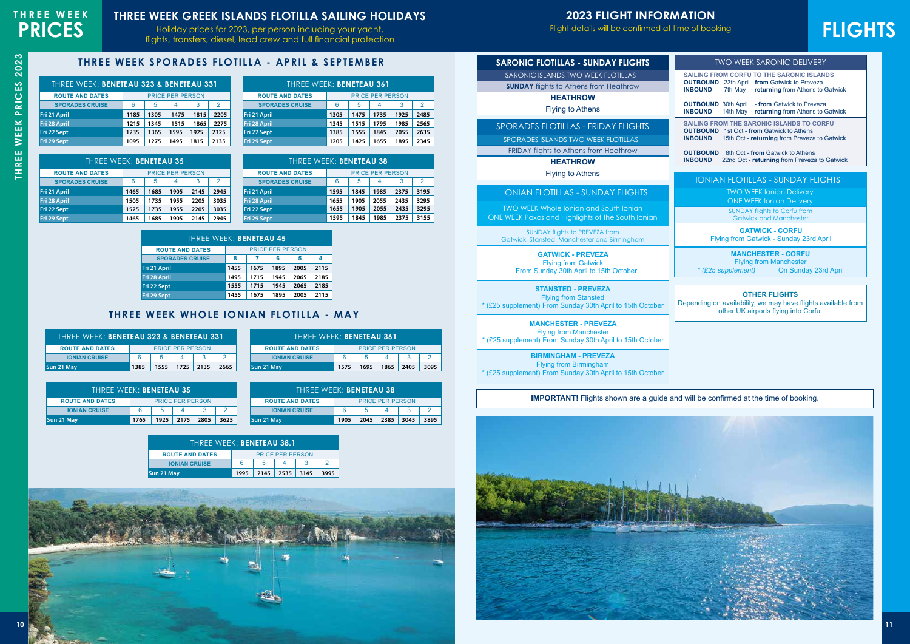# **2023 FLIGHT INFORMATION**

Flight details will be confirmed at time of booking. This is a guide of  $\mathsf{S}$ 



# **THREE WEEK SPORADES FLOTILLA - APRIL & SEPTEMBER**

# **FLIGHTS**

# **RYA** SAILING SCHOOL IN THE **GREEK ISLANDS THREE WEEK GREEK ISLANDS FLOTILLA SAILING HOLIDAYS**

Holiday prices for 2023, per person including your yacht, **PRICES** Holiday prices for 2023, per person including your yacht,<br> **PRICES FLIGHTS** 

|                 | PRICES | THREE WEEK |
|-----------------|--------|------------|
| က<br>$\ddot{2}$ |        | ΤН         |

| <b>TWO WEEK SARONIC DELIVERY</b>                                                                                                                                                                                                                                                                  |
|---------------------------------------------------------------------------------------------------------------------------------------------------------------------------------------------------------------------------------------------------------------------------------------------------|
| <b>SAILING FROM CORFU TO THE SARONIC ISLANDS</b><br><b>OUTBOUND</b> 23th April - from Gatwick to Preveza<br><b>INBOUND</b><br>7th May - returning from Athens to Gatwick<br><b>OUTBOUND</b> 30th April - from Gatwick to Preveza<br><b>INBOUND</b><br>14th May - returning from Athens to Gatwick |
| <b>SAILING FROM THE SARONIC ISLANDS TO CORFU</b><br><b>OUTBOUND</b> 1st Oct - from Gatwick to Athens<br><b>INBOUND</b><br>15th Oct - returning from Preveza to Gatwick<br><b>OUTBOUND</b> 8th Oct - from Gatwick to Athens<br><b>INBOUND</b><br>22nd Oct - returning from Preveza to Gatwick      |
| <b>IONIAN FLOTILLAS - SUNDAY FLIGHTS</b>                                                                                                                                                                                                                                                          |
| <b>TWO WEEK Ionian Delivery</b><br><b>ONE WEEK Ionian Delivery</b><br><b>SUNDAY flights to Corfu from</b><br><b>Gatwick and Manchester</b>                                                                                                                                                        |
| <b>GATWICK - CORFU</b><br>Flying from Gatwick - Sunday 23rd April                                                                                                                                                                                                                                 |
| <b>MANCHESTER - CORFU</b><br><b>Flying from Manchester</b><br>* (£25 supplement)<br>On Sunday 23rd April                                                                                                                                                                                          |
| <b>OTHER FLIGHTS</b><br>Depending on availability, we may have flights available from<br>other UK airports flying into Corfu.                                                                                                                                                                     |
|                                                                                                                                                                                                                                                                                                   |
|                                                                                                                                                                                                                                                                                                   |
| <b>IMPORTANT!</b> Flights shown are a guide and will be confirmed at the time of booking.                                                                                                                                                                                                         |
|                                                                                                                                                                                                                                                                                                   |



| THREE WEEK: BENETEAU 323 & BENETEAU 331 |                         |      |      |      |      |
|-----------------------------------------|-------------------------|------|------|------|------|
| <b>ROUTE AND DATES</b>                  | <b>PRICE PER PERSON</b> |      |      |      |      |
| <b>SPORADES CRUISE</b>                  | 6<br>3<br>2<br>5<br>4   |      |      |      |      |
| Fri 21 April                            | 1185                    | 1305 | 1475 | 1815 | 2205 |
| Fri 28 April                            | 1215                    | 1345 | 1515 | 1865 | 2275 |
| Fri 22 Sept                             | 1235                    | 1365 | 1595 | 1925 | 2325 |
| Fri 29 Sept                             | 1095                    | 1275 | 1495 | 1815 | 2135 |

### **THREE WEEK WHOLE IONIAN FLOTILLA - MAY**

| THREE WEEK: BENETEAU 361 |                                   |      |                         |      |      |
|--------------------------|-----------------------------------|------|-------------------------|------|------|
| <b>ROUTE AND DATES</b>   |                                   |      | <b>PRICE PER PERSON</b> |      |      |
| <b>SPORADES CRUISE</b>   | $\mathcal{P}$<br>6<br>5<br>3<br>4 |      |                         |      |      |
| Fri 21 April             | 1305                              | 1475 | 1735                    | 1925 | 2485 |
| Fri 28 April             | 1345                              | 1515 | 1795                    | 1985 | 2565 |
| Fri 22 Sept              | 1385                              | 1555 | 1845                    | 2055 | 2635 |
| Fri 29 Sept              | 1205                              | 1425 | 1655                    | 1895 | 2345 |

| THREE WEEK: BENETEAU 323 & BENETEAU 331 |      |      |                         |      |
|-----------------------------------------|------|------|-------------------------|------|
| <b>ROUTE AND DATES</b>                  |      |      | <b>PRICE PER PERSON</b> |      |
| <b>IONIAN CRUISE</b>                    | 6    | -5   |                         |      |
| Sun 21 May                              | 1385 | 1555 | 1725 2135               | 2665 |

| THREE WEEK: BENETEAU 35 |                         |      |      |      |      |
|-------------------------|-------------------------|------|------|------|------|
| <b>ROUTE AND DATES</b>  | <b>PRICE PER PERSON</b> |      |      |      |      |
| <b>SPORADES CRUISE</b>  | 5<br>6<br>3<br>2<br>4   |      |      |      |      |
| Fri 21 April            | 1465                    | 1685 | 1905 | 2145 | 2945 |
| Fri 28 April            | 1505                    | 1735 | 1955 | 2205 | 3035 |
| Fri 22 Sept             | 1525                    | 1735 | 1955 | 2205 | 3035 |
| Fri 29 Sept             | 1465                    | 1685 | 1905 | 2145 | 2945 |

| THREE WEEK: BENETEAU 361 |                         |      |      |      |      |
|--------------------------|-------------------------|------|------|------|------|
| <b>ROUTE AND DATES</b>   | <b>PRICE PER PERSON</b> |      |      |      |      |
| <b>IONIAN CRUISE</b>     | 6<br>5                  |      |      |      |      |
| Sun 21 May               | 1575                    | 1695 | 1865 | 2405 | 3095 |

| THREE WEEK: BENETEAU 38 |                              |      |      |      |      |
|-------------------------|------------------------------|------|------|------|------|
| <b>ROUTE AND DATES</b>  | <b>PRICE PER PERSON</b>      |      |      |      |      |
| <b>SPORADES CRUISE</b>  | 3<br>6<br>5<br>4             |      |      |      | 2    |
| Fri 21 April            | 1595                         | 1845 | 1985 | 2375 | 3195 |
| Fri 28 April            | 1655                         | 1905 | 2055 | 2435 | 3295 |
| Fri 22 Sept             | 2055<br>2435<br>1905<br>1655 |      |      |      | 3295 |
| Fri 29 Sept             | 1595                         | 1845 | 1985 | 2375 | 3155 |

| THREE WEEK: BENETEAU 35 |                         |      |      |      |      |
|-------------------------|-------------------------|------|------|------|------|
| <b>ROUTE AND DATES</b>  | <b>PRICE PER PERSON</b> |      |      |      |      |
| <b>IONIAN CRUISE</b>    | ิค                      | 5    |      |      |      |
| Sun 21 May              | 1765                    | 1925 | 2175 | 2805 | 3625 |

| <b>THREE WEEK: BENETEAU 45</b> |                  |      |                         |      |      |
|--------------------------------|------------------|------|-------------------------|------|------|
| <b>ROUTE AND DATES</b>         |                  |      | <b>PRICE PER PERSON</b> |      |      |
| <b>SPORADES CRUISE</b>         | 8<br>5<br>6<br>4 |      |                         |      |      |
| Fri 21 April                   | 1455             | 1675 | 1895                    | 2005 | 2115 |
| Fri 28 April                   | 1495             | 1715 | 1945                    | 2065 | 2185 |
| Fri 22 Sept                    | 1555             | 1715 | 1945                    | 2065 | 2185 |
| Fri 29 Sept                    | 1455             | 1675 | 1895                    | 2005 | 2115 |

| THREE WEEK: BENETEAU 38 |      |      |                         |      |      |
|-------------------------|------|------|-------------------------|------|------|
| <b>ROUTE AND DATES</b>  |      |      | <b>PRICE PER PERSON</b> |      |      |
| <b>IONIAN CRUISE</b>    | 6    |      |                         |      |      |
| Sun 21 May              | 1905 | 2045 | 2385                    | 3045 | 3895 |

| THREE WEEK: BENETEAU 38.1 |                         |      |        |      |      |
|---------------------------|-------------------------|------|--------|------|------|
| <b>ROUTE AND DATES</b>    | <b>PRICE PER PERSON</b> |      |        |      |      |
| <b>IONIAN CRUISE</b>      | 6                       | 5    |        |      |      |
| Sun 21 May                | 1995                    | 2145 | $2535$ | 3145 | 3995 |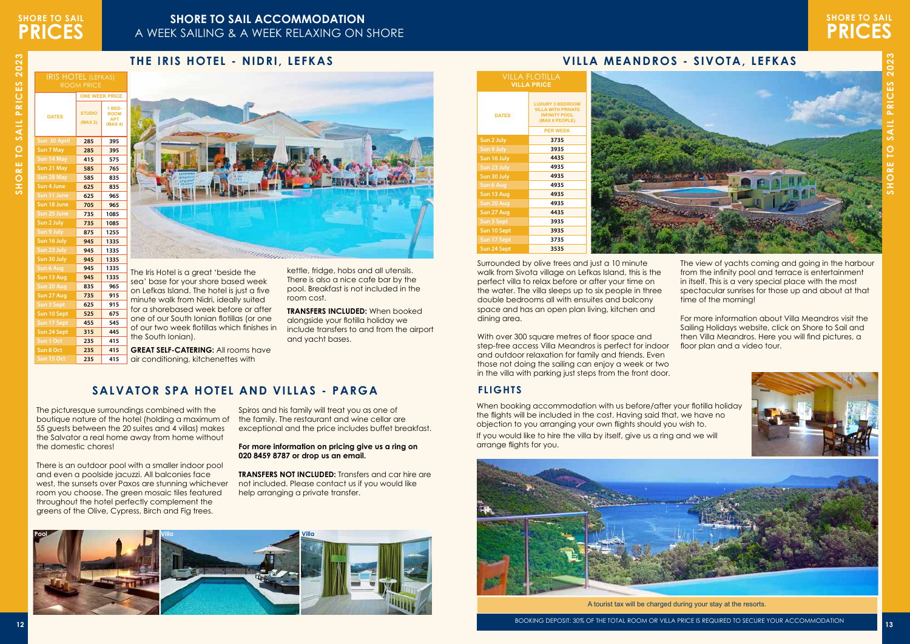# **SHORE TO SAIL PRICES**

# **SHORE TO SAIL PRICES**

## **SHORE TO SAIL ACCOMMODATION**  A WEEK SAILING & A WEEK RELAXING ON SHORE

2023 **SHORE TO SAIL PRICES 2023** SHORE TO SAIL PRICES



A tourist tax will be charged during your stay at the resorts.

**315 445 235 415 235 415 235 415**

| <b>IRIS HOTEL (LEFKAS)</b><br><b>ROOM PRICE</b> |                          |                                                       |  |  |  |  |
|-------------------------------------------------|--------------------------|-------------------------------------------------------|--|--|--|--|
|                                                 | <b>ONE WEEK PRICE</b>    |                                                       |  |  |  |  |
| <b>DATES</b>                                    | <b>STUDIO</b><br>(MAX 2) | <b>1 BED-</b><br><b>ROOM</b><br><b>APT</b><br>(MAX 4) |  |  |  |  |
| Sun 30 April                                    | 285                      | 395                                                   |  |  |  |  |
| Sun 7 May                                       | 285                      | 395                                                   |  |  |  |  |
| Sun 14 May                                      | 415                      | 575                                                   |  |  |  |  |
| Sun 21 May                                      | 585                      | 765                                                   |  |  |  |  |
| Sun 28 May                                      | 585                      | 835                                                   |  |  |  |  |
| Sun 4 June                                      | 625                      | 835                                                   |  |  |  |  |
| Sun 11 June                                     | 625                      | 965                                                   |  |  |  |  |
| Sun 18 June                                     | 705                      | 965                                                   |  |  |  |  |
| Sun 25 June                                     | 735                      | 1085                                                  |  |  |  |  |
| Sun 2 July                                      | 735                      | 1085                                                  |  |  |  |  |
| Sun 9 July                                      | 875                      | 1255                                                  |  |  |  |  |
| Sun 16 July                                     | 945                      | 1335                                                  |  |  |  |  |
| Sun 23 July                                     | 945                      | 1335                                                  |  |  |  |  |
| Sun 30 July                                     | 945                      | 1335                                                  |  |  |  |  |
| <b>Sun 6 Aug</b>                                | 945                      | 1335                                                  |  |  |  |  |
| Sun 13 Aug                                      | 945                      | 1335                                                  |  |  |  |  |
| Sun 20 Aug                                      | 835                      | 965                                                   |  |  |  |  |
| Sun 27 Aug                                      | 735                      | 915                                                   |  |  |  |  |
| Sun 3 Sept                                      | 625                      | 915                                                   |  |  |  |  |
| Sun 10 Sept                                     | 525                      | 675                                                   |  |  |  |  |
| Sun 17 Sept                                     | 455                      | 545                                                   |  |  |  |  |

When booking accommodation with us before/after your flotilla holiday the flights will be included in the cost. Having said that, we have no objection to you arranging your own flights should you wish to. If you would like to hire the villa by itself, give us a ring and we will arrange flights for you.

**Sun 24 Sept**

**Sun 8 Oct Sun 15 Oct**



With over 300 square metres of floor space and step-free access Villa Meandros is perfect for indoor and outdoor relaxation for family and friends. Even those not doing the sailing can enjoy a week or two in the villa with parking just steps from the front door.

## **THE IRIS HOTEL - NIDRI, LEFKAS VILLA MEANDROS - SIVOTA, LEFKAS**

e Iris Hotel is a great 'beside the ea' base for your shore based week on Lefkas Island. The hotel is just a five minute walk from Nidri, ideally suited r a shorebased week before or after ne of our South Ionian flotillas (or one of our two week flotillas which finishes in the South Ionian).

**GREAT SELF-CATERING: All rooms have** air conditioning, kitchenettes with

# **SALVATOR SPA HOTEL AND VILLAS - PARGA FLIGHTS**

Surrounded by olive trees and just a 10 minute walk from Sivota village on Lefkas Island, this is the perfect villa to relax before or after your time on the water. The villa sleeps up to six people in three double bedrooms all with ensuites and balcony space and has an open plan living, kitchen and dining area.

**TRANSFERS NOT INCLUDED:** Transfers and car hire are not included. Please contact us if you would like help arranging a private transfer.

The view of yachts coming and going in the harbour from the infinity pool and terrace is entertainment in itself. This is a very special place with the most spectacular sunrises for those up and about at that time of the morning!

For more information about Villa Meandros visit the Sailing Holidays website, click on Shore to Sail and then Villa Meandros. Here you will find pictures, a floor plan and a video tour.



| <b>VILLA FLOTILLA</b><br><b>VILLA PRICE</b> |                                                                                                |  |
|---------------------------------------------|------------------------------------------------------------------------------------------------|--|
| <b>DATES</b>                                | <b>LUXURY 3 BEDROOM</b><br><b>VILLA WITH PRIVATE</b><br><b>INFINITY POOL</b><br>(MAX 6 PEOPLE) |  |
|                                             | <b>PER WEEK</b>                                                                                |  |
| Sun 2 July                                  | 3735                                                                                           |  |
| Sun 9 July                                  | 3935                                                                                           |  |
| Sun 16 July                                 | 4435                                                                                           |  |
| Sun 23 July                                 | 4935                                                                                           |  |
| Sun 30 July                                 | 4935                                                                                           |  |
| Sun 6 Aug                                   | 4935                                                                                           |  |
| Sun 13 Aug                                  | 4935                                                                                           |  |
| Sun 20 Aug                                  | 4935                                                                                           |  |
| Sun 27 Aug                                  | 4435                                                                                           |  |
| Sun 3 Sept                                  | 3935                                                                                           |  |
| Sun 10 Sept                                 | 3935                                                                                           |  |
| Sun 17 Sept                                 | 3735                                                                                           |  |
| Sun 24 Sept                                 | 3535                                                                                           |  |



kettle, fridge, hobs and all utensils. There is also a nice cafe bar by the pool. Breakfast is not included in the room cost.

**TRANSFERS INCLUDED:** When booked alongside your flotilla holiday we include transfers to and from the airport and yacht bases.

The picturesque surroundings combined with the boutique nature of the hotel (holding a maximum of 55 guests between the 20 suites and 4 villas) makes the Salvator a real home away from home without the domestic chores!

There is an outdoor pool with a smaller indoor pool and even a poolside jacuzzi. All balconies face west, the sunsets over Paxos are stunning whichever room you choose. The green mosaic tiles featured throughout the hotel perfectly complement the greens of the Olive, Cypress, Birch and Fig trees.

Spiros and his family will treat you as one of the family. The restaurant and wine cellar are exceptional and the price includes buffet breakfast.

**For more information on pricing give us a ring on 020 8459 8787 or drop us an email.**

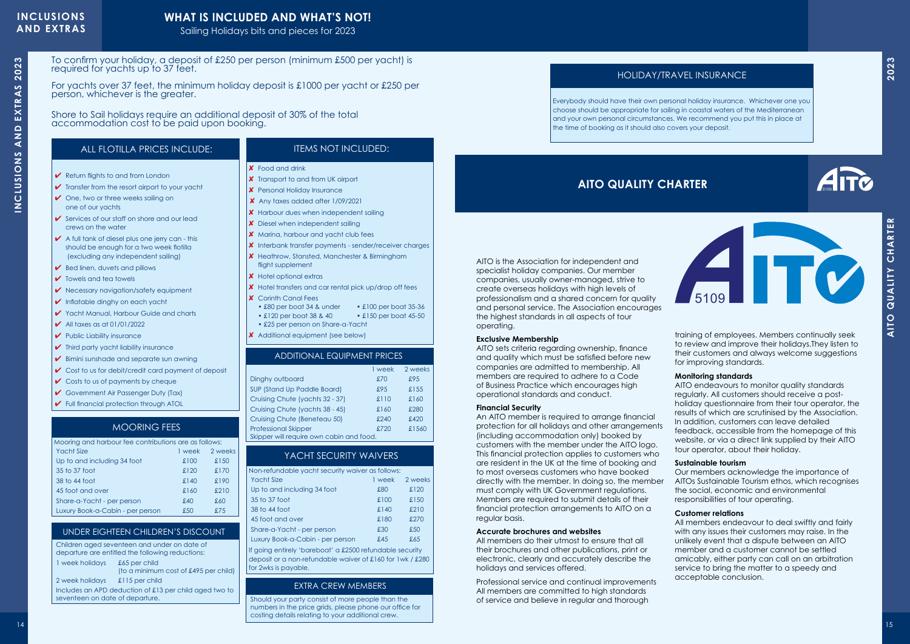# **INCLUSIONS** PRICES **AND EXTRAS**

# **WHAT IS INCLUDED AND WHAT'S NOT!**

Sailing Holidays bits and pieces for 2023

# **AITO QUALITY CHARTER**

AITO is the Association for independent and specialist holiday companies. Our member companies, usually owner-managed, strive to create overseas holidays with high levels of professionalism and a shared concern for quality and personal service. The Association encourages the highest standards in all aspects of tour operating.

#### **Exclusive Membership**

AITO sets criteria regarding ownership, finance and quality which must be satisfied before new companies are admitted to membership. All members are required to adhere to a Code of Business Practice which encourages high operational standards and conduct.

<sup>14</sup> <sup>15</sup>**<sup>2023</sup> AITO QUALITY CHARTER** An AITO member is required to arrange financial protection for all holidays and other arrangements (including accommodation only) booked by customers with the member under the AITO logo. This financial protection applies to customers who are resident in the UK at the time of booking and to most overseas customers who have booked directly with the member. In doing so, the member must comply with UK Government regulations. Members are required to submit details of their financial protection arrangements to AITO on a regular basis.

#### **Financial Security**

#### **Accurate brochures and websites**

All members do their utmost to ensure that all their brochures and other publications, print or electronic, clearly and accurately describe the holidays and services offered.

Professional service and continual improvements All members are committed to high standards of service and believe in regular and thorough



training of employees. Members continually seek to review and improve their holidays.They listen to their customers and always welcome suggestions for improving standards.

- ✔ Return flights to and from London
- $\checkmark$  Transfer from the resort airport to your yacht
- $\vee$  One, two or three weeks sailing on one of our yachts
- $\checkmark$  Services of our staff on shore and our lead crews on the water
- $\blacktriangleright$  A full tank of diesel plus one jerry can this should be enough for a two week flotilla (excluding any independent sailing)
- $\blacktriangleright$  Bed linen, duvets and pillows
- $\triangleright$  Towels and tea towels
- 4 Necessary navigation/safety equipment
- $\vee$  Inflatable dinghy on each yacht
- 4 Yacht Manual, Harbour Guide and charts
- $\blacktriangleright$  All taxes as at 01/01/2022
- $\vee$  Public Liability insurance
- $\blacktriangleright$  Third party yacht liability insurance
- $\vee$  Bimini sunshade and separate sun awning
- $\checkmark$  Cost to us for debit/credit card payment of deposit
- $\vee$  Costs to us of payments by cheque
- Government Air Passenger Duty (Tax)
- 4 Full financial protection through ATOL

**Monitoring standards** AITO endeavours to monitor quality standards regularly. All customers should receive a postholiday questionnaire from their tour operator, the results of which are scrutinised by the Association. In addition, customers can leave detailed feedback, accessible from the homepage of this website, or via a direct link supplied by their AITO tour operator, about their holiday.

#### **Sustainable tourism**

Our members acknowledge the importance of AITOs Sustainable Tourism ethos, which recognises the social, economic and environmental responsibilities of tour operating.

#### **Customer relations**

All members endeavour to deal swiftly and fairly with any issues their customers may raise. In the unlikely event that a dispute between an AITO member and a customer cannot be settled amicably, either party can call on an arbitration service to bring the matter to a speedy and acceptable conclusion.





To confirm your holiday, a deposit of £250 per person (minimum £500 per yacht) is required for yachts up to 37 feet.

For yachts over 37 feet, the minimum holiday deposit is £1000 per yacht or £250 per person, whichever is the greater.

Shore to Sail holidays require an additional deposit of 30% of the total accommodation cost to be paid upon booking.

#### ADDITIONAL EQUIPMENT PRICES

|                                          | 1 week | 2 weeks |
|------------------------------------------|--------|---------|
| Dinghy outboard                          | £70    | £95     |
| SUP (Stand Up Paddle Board)              | £95    | £155    |
| Cruising Chute (yachts 32 - 37)          | £110   | £160    |
| Cruising Chute (yachts 38 - 45)          | £160   | £280    |
| Cruising Chute (Beneteau 50)             | £240   | £420    |
| <b>Professional Skipper</b>              | £720   | £1560   |
| Skipper will require own cabin and food. |        |         |

# ALL FLOTILLA PRICES INCLUDE:

### YACHT SECURITY WAIVERS

| Non-refundable yacht security waiver as follows:         |        |         |  |
|----------------------------------------------------------|--------|---------|--|
| <b>Yacht Size</b>                                        | 1 week | 2 weeks |  |
| Up to and including 34 foot                              | £80    | £120    |  |
| 35 to 37 foot                                            | £100   | £150    |  |
| 38 to 44 foot                                            | £140   | £210    |  |
| 45 foot and over                                         | £180   | £270    |  |
| Share-a-Yacht - per person                               | £30    | £50     |  |
| Luxury Book-a-Cabin - per person                         | f.45   | £65     |  |
| If going entirely 'bareboat' a £2500 refundable security |        |         |  |
|                                                          |        |         |  |

deposit or a non-refundable waiver of £160 for 1wk / £280 for 2wks is payable.

### MOORING FEES

| Mooring and harbour fee contributions are as follows: |        |         |  |
|-------------------------------------------------------|--------|---------|--|
| <b>Yacht Size</b>                                     | 1 week | 2 weeks |  |
| Up to and including 34 foot                           | £100   | £150    |  |
| 35 to 37 foot                                         | £120   | £170    |  |
| 38 to 44 foot                                         | £140   | £190    |  |
| 45 foot and over                                      | £160   | £210    |  |
| Share-a-Yacht - per person                            | £40    | £60     |  |
| Luxury Book-a-Cabin - per person                      | £50    | £7.5    |  |

#### EXTRA CREW MEMBERS

Should your party consist of more people than the numbers in the price grids, please phone our office for costing details relating to your additional crew.

### UNDER EIGHTEEN CHILDREN'S DISCOUNT

Children aged seventeen and under on date of departure are entitled the following reductions: 1 week holidays £65 per child (to a minimum cost of £495 per child) 2 week holidays £115 per child Includes an APD deduction of £13 per child aged two to seventeen on date of departure.

### HOLIDAY/TRAVEL INSURANCE

Everybody should have their own personal holiday insurance. Whichever one you choose should be appropriate for sailing in coastal waters of the Mediterranean and your own personal circumstances. We recommend you put this in place at the time of booking as it should also covers your deposit.

### ITEMS NOT INCLUDED:

#### **X** Food and drink

- **X** Transport to and from UK airport
- 8 Personal Holiday Insurance
- X Any taxes added after 1/09/2021
- **X** Harbour dues when independent sailing
- **X** Diesel when independent sailing
- **X** Marina, harbour and vacht club fees
- 8 Interbank transfer payments sender/receiver charges
- **X** Heathrow, Stansted, Manchester & Birmingham flight supplement
- **X** Hotel optional extras
- $\boldsymbol{\mathsf{X}}$  Hotel transfers and car rental pick up/drop off fees
- **X** Corinth Canal Fees
	- £80 per boat 34 & under £100 per boat 35-36
	- £120 per boat 38 & 40 £150 per boat 45-50
- £25 per person on Share-a-Yacht
- **X** Additional equipment (see below)